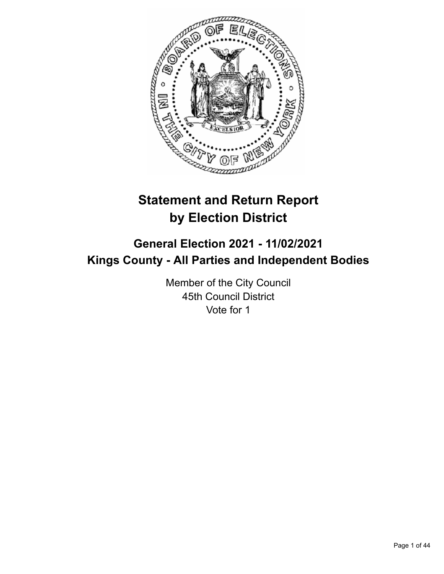

# **Statement and Return Report by Election District**

# **General Election 2021 - 11/02/2021 Kings County - All Parties and Independent Bodies**

Member of the City Council 45th Council District Vote for 1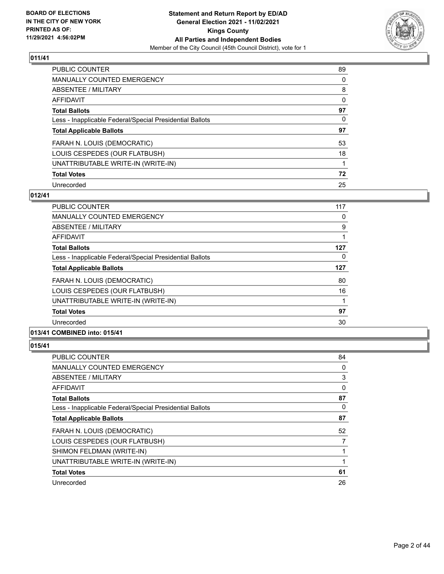

| PUBLIC COUNTER                                           | 89       |
|----------------------------------------------------------|----------|
| <b>MANUALLY COUNTED EMERGENCY</b>                        | 0        |
| ABSENTEE / MILITARY                                      | 8        |
| AFFIDAVIT                                                | $\Omega$ |
| <b>Total Ballots</b>                                     | 97       |
| Less - Inapplicable Federal/Special Presidential Ballots | 0        |
| <b>Total Applicable Ballots</b>                          | 97       |
| FARAH N. LOUIS (DEMOCRATIC)                              | 53       |
| LOUIS CESPEDES (OUR FLATBUSH)                            | 18       |
| UNATTRIBUTABLE WRITE-IN (WRITE-IN)                       |          |
| <b>Total Votes</b>                                       | 72       |
| Unrecorded                                               | 25       |

## **012/41**

| <b>PUBLIC COUNTER</b>                                    | 117 |
|----------------------------------------------------------|-----|
| <b>MANUALLY COUNTED EMERGENCY</b>                        | 0   |
| ABSENTEE / MILITARY                                      | 9   |
| AFFIDAVIT                                                |     |
| <b>Total Ballots</b>                                     | 127 |
| Less - Inapplicable Federal/Special Presidential Ballots | 0   |
| <b>Total Applicable Ballots</b>                          | 127 |
| FARAH N. LOUIS (DEMOCRATIC)                              | 80  |
| LOUIS CESPEDES (OUR FLATBUSH)                            | 16  |
| UNATTRIBUTABLE WRITE-IN (WRITE-IN)                       |     |
| <b>Total Votes</b>                                       | 97  |
| Unrecorded                                               | 30  |
|                                                          |     |

# **013/41 COMBINED into: 015/41**

| PUBLIC COUNTER                                           | 84       |
|----------------------------------------------------------|----------|
| MANUALLY COUNTED EMERGENCY                               | 0        |
| ABSENTEE / MILITARY                                      | 3        |
| AFFIDAVIT                                                | 0        |
| <b>Total Ballots</b>                                     | 87       |
| Less - Inapplicable Federal/Special Presidential Ballots | $\Omega$ |
| <b>Total Applicable Ballots</b>                          | 87       |
| FARAH N. LOUIS (DEMOCRATIC)                              | 52       |
| LOUIS CESPEDES (OUR FLATBUSH)                            | 7        |
| SHIMON FELDMAN (WRITE-IN)                                |          |
| UNATTRIBUTABLE WRITE-IN (WRITE-IN)                       |          |
| <b>Total Votes</b>                                       | 61       |
| Unrecorded                                               | 26       |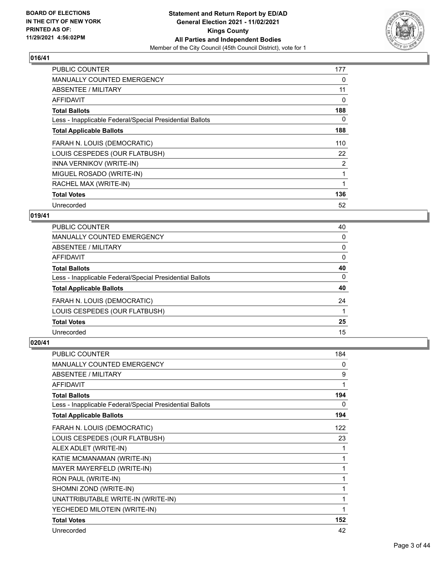

| PUBLIC COUNTER                                           | 177 |
|----------------------------------------------------------|-----|
| <b>MANUALLY COUNTED EMERGENCY</b>                        | 0   |
| ABSENTEE / MILITARY                                      | 11  |
| AFFIDAVIT                                                | 0   |
| <b>Total Ballots</b>                                     | 188 |
| Less - Inapplicable Federal/Special Presidential Ballots | 0   |
| <b>Total Applicable Ballots</b>                          | 188 |
| FARAH N. LOUIS (DEMOCRATIC)                              | 110 |
| LOUIS CESPEDES (OUR FLATBUSH)                            | 22  |
| INNA VERNIKOV (WRITE-IN)                                 | 2   |
| MIGUEL ROSADO (WRITE-IN)                                 | 1   |
| RACHEL MAX (WRITE-IN)                                    |     |
| <b>Total Votes</b>                                       | 136 |
| Unrecorded                                               | 52  |

## **019/41**

| <b>PUBLIC COUNTER</b>                                    | 40       |
|----------------------------------------------------------|----------|
| <b>MANUALLY COUNTED EMERGENCY</b>                        | 0        |
| ABSENTEE / MILITARY                                      | 0        |
| AFFIDAVIT                                                | $\Omega$ |
| <b>Total Ballots</b>                                     | 40       |
| Less - Inapplicable Federal/Special Presidential Ballots | 0        |
| <b>Total Applicable Ballots</b>                          | 40       |
| FARAH N. LOUIS (DEMOCRATIC)                              | 24       |
| LOUIS CESPEDES (OUR FLATBUSH)                            |          |
| <b>Total Votes</b>                                       | 25       |
| Unrecorded                                               | 15       |

| <b>PUBLIC COUNTER</b>                                    | 184 |
|----------------------------------------------------------|-----|
| <b>MANUALLY COUNTED EMERGENCY</b>                        | 0   |
| ABSENTEE / MILITARY                                      | 9   |
| AFFIDAVIT                                                | 1   |
| <b>Total Ballots</b>                                     | 194 |
| Less - Inapplicable Federal/Special Presidential Ballots | 0   |
| <b>Total Applicable Ballots</b>                          | 194 |
| FARAH N. LOUIS (DEMOCRATIC)                              | 122 |
| LOUIS CESPEDES (OUR FLATBUSH)                            | 23  |
| ALEX ADLET (WRITE-IN)                                    | 1   |
| KATIE MCMANAMAN (WRITE-IN)                               | 1   |
| MAYER MAYERFELD (WRITE-IN)                               | 1   |
| RON PAUL (WRITE-IN)                                      | 1   |
| SHOMNI ZOND (WRITE-IN)                                   | 1   |
| UNATTRIBUTABLE WRITE-IN (WRITE-IN)                       | 1   |
| YECHEDED MILOTEIN (WRITE-IN)                             | 1   |
| <b>Total Votes</b>                                       | 152 |
| Unrecorded                                               | 42  |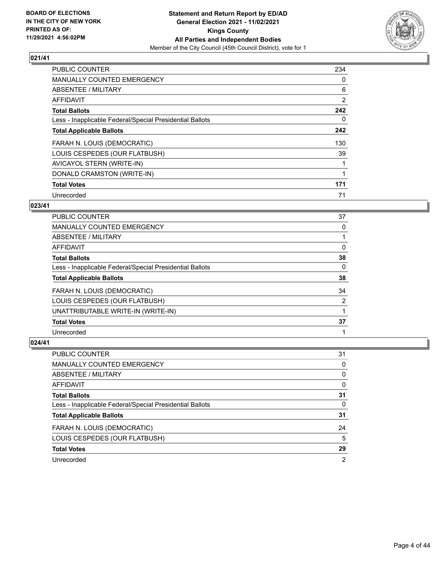

| <b>PUBLIC COUNTER</b>                                    | 234            |
|----------------------------------------------------------|----------------|
| <b>MANUALLY COUNTED EMERGENCY</b>                        | 0              |
| ABSENTEE / MILITARY                                      | 6              |
| AFFIDAVIT                                                | $\overline{2}$ |
| <b>Total Ballots</b>                                     | 242            |
| Less - Inapplicable Federal/Special Presidential Ballots | 0              |
| <b>Total Applicable Ballots</b>                          | 242            |
| FARAH N. LOUIS (DEMOCRATIC)                              | 130            |
| LOUIS CESPEDES (OUR FLATBUSH)                            | 39             |
| AVICAYOL STERN (WRITE-IN)                                |                |
| DONALD CRAMSTON (WRITE-IN)                               |                |
| <b>Total Votes</b>                                       | 171            |
| Unrecorded                                               | 71             |

## **023/41**

| <b>PUBLIC COUNTER</b>                                    | 37 |
|----------------------------------------------------------|----|
| <b>MANUALLY COUNTED EMERGENCY</b>                        | 0  |
| ABSENTEE / MILITARY                                      |    |
| AFFIDAVIT                                                | 0  |
| <b>Total Ballots</b>                                     | 38 |
| Less - Inapplicable Federal/Special Presidential Ballots | 0  |
| <b>Total Applicable Ballots</b>                          | 38 |
| FARAH N. LOUIS (DEMOCRATIC)                              | 34 |
| LOUIS CESPEDES (OUR FLATBUSH)                            | 2  |
| UNATTRIBUTABLE WRITE-IN (WRITE-IN)                       |    |
| <b>Total Votes</b>                                       | 37 |
| Unrecorded                                               |    |

| PUBLIC COUNTER                                           | 31             |
|----------------------------------------------------------|----------------|
| MANUALLY COUNTED EMERGENCY                               | 0              |
| <b>ABSENTEE / MILITARY</b>                               | 0              |
| <b>AFFIDAVIT</b>                                         | 0              |
| <b>Total Ballots</b>                                     | 31             |
| Less - Inapplicable Federal/Special Presidential Ballots | 0              |
| <b>Total Applicable Ballots</b>                          | 31             |
| FARAH N. LOUIS (DEMOCRATIC)                              | 24             |
| LOUIS CESPEDES (OUR FLATBUSH)                            | 5              |
| <b>Total Votes</b>                                       | 29             |
| Unrecorded                                               | $\overline{2}$ |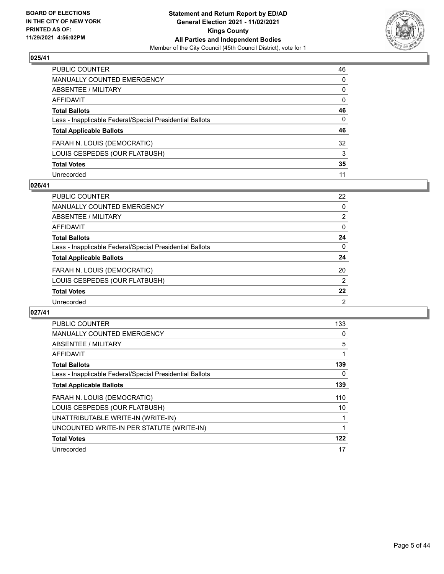

| PUBLIC COUNTER                                           | 46       |
|----------------------------------------------------------|----------|
| MANUALLY COUNTED EMERGENCY                               | 0        |
| ABSENTEE / MILITARY                                      | 0        |
| AFFIDAVIT                                                | 0        |
| Total Ballots                                            | 46       |
| Less - Inapplicable Federal/Special Presidential Ballots | $\Omega$ |
| <b>Total Applicable Ballots</b>                          | 46       |
| FARAH N. LOUIS (DEMOCRATIC)                              | 32       |
| LOUIS CESPEDES (OUR FLATBUSH)                            | 3        |
| <b>Total Votes</b>                                       | 35       |
| Unrecorded                                               | 11       |

## **026/41**

| <b>PUBLIC COUNTER</b>                                    | 22             |
|----------------------------------------------------------|----------------|
| <b>MANUALLY COUNTED EMERGENCY</b>                        | 0              |
| ABSENTEE / MILITARY                                      | 2              |
| AFFIDAVIT                                                | $\Omega$       |
| <b>Total Ballots</b>                                     | 24             |
| Less - Inapplicable Federal/Special Presidential Ballots | 0              |
| <b>Total Applicable Ballots</b>                          | 24             |
| FARAH N. LOUIS (DEMOCRATIC)                              | 20             |
| LOUIS CESPEDES (OUR FLATBUSH)                            | $\overline{2}$ |
| <b>Total Votes</b>                                       | 22             |
| Unrecorded                                               | $\mathcal{P}$  |

| <b>PUBLIC COUNTER</b>                                    | 133 |
|----------------------------------------------------------|-----|
| <b>MANUALLY COUNTED EMERGENCY</b>                        | 0   |
| <b>ABSENTEE / MILITARY</b>                               | 5   |
| AFFIDAVIT                                                |     |
| <b>Total Ballots</b>                                     | 139 |
| Less - Inapplicable Federal/Special Presidential Ballots | 0   |
| <b>Total Applicable Ballots</b>                          | 139 |
| FARAH N. LOUIS (DEMOCRATIC)                              | 110 |
| LOUIS CESPEDES (OUR FLATBUSH)                            | 10  |
| UNATTRIBUTABLE WRITE-IN (WRITE-IN)                       |     |
| UNCOUNTED WRITE-IN PER STATUTE (WRITE-IN)                | 1   |
| <b>Total Votes</b>                                       | 122 |
| Unrecorded                                               | 17  |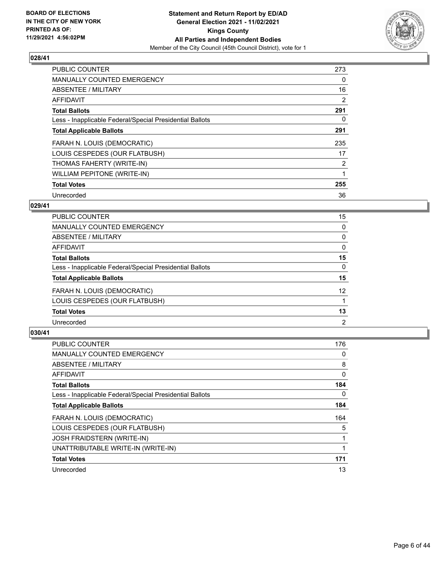

| <b>PUBLIC COUNTER</b>                                    | 273            |
|----------------------------------------------------------|----------------|
| MANUALLY COUNTED EMERGENCY                               | 0              |
| ABSENTEE / MILITARY                                      | 16             |
| <b>AFFIDAVIT</b>                                         | 2              |
| <b>Total Ballots</b>                                     | 291            |
| Less - Inapplicable Federal/Special Presidential Ballots | 0              |
| <b>Total Applicable Ballots</b>                          | 291            |
| FARAH N. LOUIS (DEMOCRATIC)                              | 235            |
| LOUIS CESPEDES (OUR FLATBUSH)                            | 17             |
| THOMAS FAHERTY (WRITE-IN)                                | $\overline{2}$ |
| WILLIAM PEPITONE (WRITE-IN)                              |                |
| <b>Total Votes</b>                                       | 255            |
| Unrecorded                                               | 36             |

## **029/41**

| <b>PUBLIC COUNTER</b>                                    | 15             |
|----------------------------------------------------------|----------------|
| MANUALLY COUNTED EMERGENCY                               | 0              |
| ABSENTEE / MILITARY                                      | $\Omega$       |
| AFFIDAVIT                                                | $\Omega$       |
| <b>Total Ballots</b>                                     | 15             |
| Less - Inapplicable Federal/Special Presidential Ballots | $\Omega$       |
| <b>Total Applicable Ballots</b>                          | 15             |
| FARAH N. LOUIS (DEMOCRATIC)                              | 12             |
| LOUIS CESPEDES (OUR FLATBUSH)                            |                |
| <b>Total Votes</b>                                       | 13             |
| Unrecorded                                               | $\overline{2}$ |

| <b>PUBLIC COUNTER</b>                                    | 176 |
|----------------------------------------------------------|-----|
| <b>MANUALLY COUNTED EMERGENCY</b>                        | 0   |
| ABSENTEE / MILITARY                                      | 8   |
| <b>AFFIDAVIT</b>                                         | 0   |
| <b>Total Ballots</b>                                     | 184 |
| Less - Inapplicable Federal/Special Presidential Ballots | 0   |
| <b>Total Applicable Ballots</b>                          | 184 |
| FARAH N. LOUIS (DEMOCRATIC)                              | 164 |
| LOUIS CESPEDES (OUR FLATBUSH)                            | 5   |
| <b>JOSH FRAIDSTERN (WRITE-IN)</b>                        |     |
| UNATTRIBUTABLE WRITE-IN (WRITE-IN)                       |     |
| <b>Total Votes</b>                                       | 171 |
| Unrecorded                                               | 13  |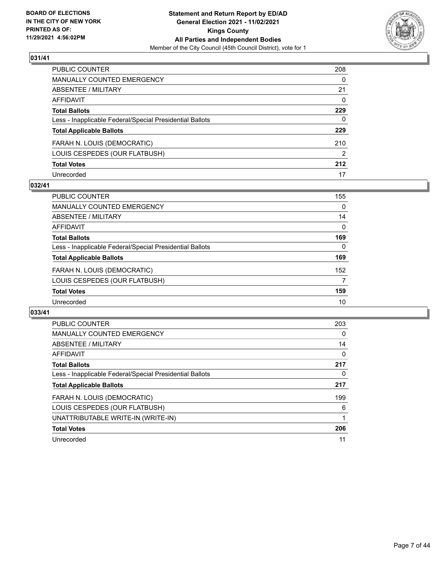

| PUBLIC COUNTER                                           | 208           |
|----------------------------------------------------------|---------------|
| <b>MANUALLY COUNTED EMERGENCY</b>                        | $\Omega$      |
| ABSENTEE / MILITARY                                      | 21            |
| <b>AFFIDAVIT</b>                                         | $\mathbf{0}$  |
| <b>Total Ballots</b>                                     | 229           |
| Less - Inapplicable Federal/Special Presidential Ballots | 0             |
| <b>Total Applicable Ballots</b>                          | 229           |
| FARAH N. LOUIS (DEMOCRATIC)                              | 210           |
| LOUIS CESPEDES (OUR FLATBUSH)                            | $\mathcal{P}$ |
| <b>Total Votes</b>                                       | 212           |
| Unrecorded                                               | 17            |

# **032/41**

| PUBLIC COUNTER                                           | 155      |
|----------------------------------------------------------|----------|
| MANUALLY COUNTED EMERGENCY                               | $\Omega$ |
| ABSENTEE / MILITARY                                      | 14       |
| AFFIDAVIT                                                | $\Omega$ |
| <b>Total Ballots</b>                                     | 169      |
| Less - Inapplicable Federal/Special Presidential Ballots | $\Omega$ |
| <b>Total Applicable Ballots</b>                          | 169      |
| FARAH N. LOUIS (DEMOCRATIC)                              | 152      |
| LOUIS CESPEDES (OUR FLATBUSH)                            | 7        |
| <b>Total Votes</b>                                       | 159      |
| Unrecorded                                               | 10       |

| PUBLIC COUNTER                                           | 203 |
|----------------------------------------------------------|-----|
| <b>MANUALLY COUNTED EMERGENCY</b>                        | 0   |
| ABSENTEE / MILITARY                                      | 14  |
| AFFIDAVIT                                                | 0   |
| <b>Total Ballots</b>                                     | 217 |
| Less - Inapplicable Federal/Special Presidential Ballots | 0   |
| <b>Total Applicable Ballots</b>                          | 217 |
| FARAH N. LOUIS (DEMOCRATIC)                              | 199 |
| LOUIS CESPEDES (OUR FLATBUSH)                            | 6   |
| UNATTRIBUTABLE WRITE-IN (WRITE-IN)                       |     |
| <b>Total Votes</b>                                       | 206 |
| Unrecorded                                               | 11  |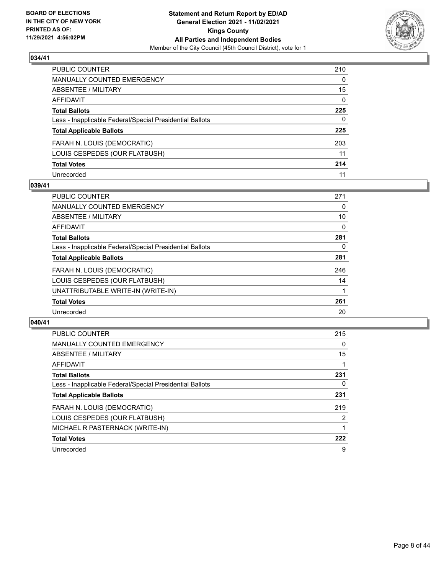

| PUBLIC COUNTER                                           | 210          |
|----------------------------------------------------------|--------------|
| MANUALLY COUNTED EMERGENCY                               | 0            |
| ABSENTEE / MILITARY                                      | 15           |
| AFFIDAVIT                                                | $\mathbf{0}$ |
| Total Ballots                                            | 225          |
| Less - Inapplicable Federal/Special Presidential Ballots | $\Omega$     |
| <b>Total Applicable Ballots</b>                          | 225          |
| FARAH N. LOUIS (DEMOCRATIC)                              | 203          |
| LOUIS CESPEDES (OUR FLATBUSH)                            | 11           |
| <b>Total Votes</b>                                       | 214          |
| Unrecorded                                               | 11           |

## **039/41**

| <b>PUBLIC COUNTER</b>                                    | 271 |
|----------------------------------------------------------|-----|
| <b>MANUALLY COUNTED EMERGENCY</b>                        | 0   |
| ABSENTEE / MILITARY                                      | 10  |
| <b>AFFIDAVIT</b>                                         | 0   |
| <b>Total Ballots</b>                                     | 281 |
| Less - Inapplicable Federal/Special Presidential Ballots | 0   |
| <b>Total Applicable Ballots</b>                          | 281 |
| FARAH N. LOUIS (DEMOCRATIC)                              | 246 |
| LOUIS CESPEDES (OUR FLATBUSH)                            | 14  |
| UNATTRIBUTABLE WRITE-IN (WRITE-IN)                       |     |
| <b>Total Votes</b>                                       | 261 |
| Unrecorded                                               | 20  |

| <b>PUBLIC COUNTER</b>                                    | 215            |
|----------------------------------------------------------|----------------|
| <b>MANUALLY COUNTED EMERGENCY</b>                        | $\Omega$       |
| ABSENTEE / MILITARY                                      | 15             |
| AFFIDAVIT                                                |                |
| <b>Total Ballots</b>                                     | 231            |
| Less - Inapplicable Federal/Special Presidential Ballots | 0              |
| <b>Total Applicable Ballots</b>                          | 231            |
| FARAH N. LOUIS (DEMOCRATIC)                              | 219            |
| LOUIS CESPEDES (OUR FLATBUSH)                            | $\overline{2}$ |
| MICHAEL R PASTERNACK (WRITE-IN)                          |                |
| <b>Total Votes</b>                                       | 222            |
| Unrecorded                                               | 9              |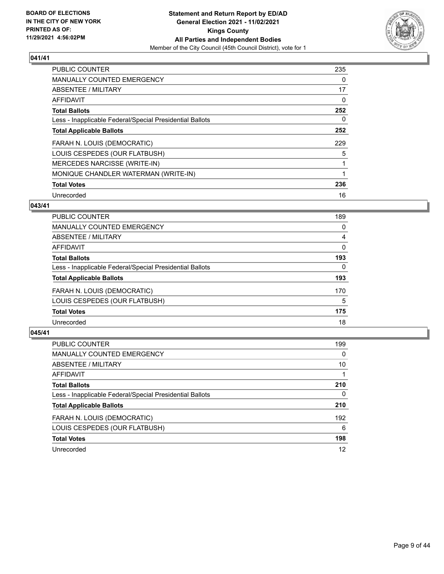

| PUBLIC COUNTER                                           | 235 |
|----------------------------------------------------------|-----|
| <b>MANUALLY COUNTED EMERGENCY</b>                        | 0   |
| ABSENTEE / MILITARY                                      | 17  |
| <b>AFFIDAVIT</b>                                         | 0   |
| <b>Total Ballots</b>                                     | 252 |
| Less - Inapplicable Federal/Special Presidential Ballots | 0   |
| <b>Total Applicable Ballots</b>                          | 252 |
| FARAH N. LOUIS (DEMOCRATIC)                              | 229 |
| LOUIS CESPEDES (OUR FLATBUSH)                            | 5   |
| <b>MERCEDES NARCISSE (WRITE-IN)</b>                      | 1   |
| MONIQUE CHANDLER WATERMAN (WRITE-IN)                     |     |
| <b>Total Votes</b>                                       | 236 |
| Unrecorded                                               | 16  |

## **043/41**

| <b>PUBLIC COUNTER</b>                                    | 189 |
|----------------------------------------------------------|-----|
| MANUALLY COUNTED EMERGENCY                               | 0   |
| ABSENTEE / MILITARY                                      | 4   |
| AFFIDAVIT                                                | 0   |
| <b>Total Ballots</b>                                     | 193 |
| Less - Inapplicable Federal/Special Presidential Ballots | 0   |
| <b>Total Applicable Ballots</b>                          | 193 |
| FARAH N. LOUIS (DEMOCRATIC)                              | 170 |
| LOUIS CESPEDES (OUR FLATBUSH)                            | 5   |
| <b>Total Votes</b>                                       | 175 |
| Unrecorded                                               | 18  |

| <b>PUBLIC COUNTER</b>                                    | 199      |
|----------------------------------------------------------|----------|
| <b>MANUALLY COUNTED EMERGENCY</b>                        | $\Omega$ |
| ABSENTEE / MILITARY                                      | 10       |
| AFFIDAVIT                                                |          |
| <b>Total Ballots</b>                                     | 210      |
| Less - Inapplicable Federal/Special Presidential Ballots | 0        |
| <b>Total Applicable Ballots</b>                          | 210      |
| FARAH N. LOUIS (DEMOCRATIC)                              | 192      |
| LOUIS CESPEDES (OUR FLATBUSH)                            | 6        |
| <b>Total Votes</b>                                       | 198      |
| Unrecorded                                               | 12       |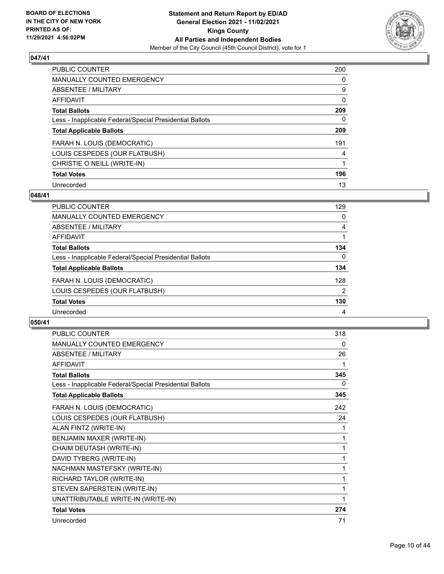

| <b>PUBLIC COUNTER</b>                                    | 200      |
|----------------------------------------------------------|----------|
| <b>MANUALLY COUNTED EMERGENCY</b>                        | $\Omega$ |
| ABSENTEE / MILITARY                                      | 9        |
| AFFIDAVIT                                                | 0        |
| <b>Total Ballots</b>                                     | 209      |
| Less - Inapplicable Federal/Special Presidential Ballots | 0        |
| <b>Total Applicable Ballots</b>                          | 209      |
| FARAH N. LOUIS (DEMOCRATIC)                              | 191      |
| LOUIS CESPEDES (OUR FLATBUSH)                            | 4        |
| CHRISTIE O NEILL (WRITE-IN)                              |          |
| <b>Total Votes</b>                                       | 196      |
| Unrecorded                                               | 13       |

#### **048/41**

| <b>PUBLIC COUNTER</b>                                    | 129      |
|----------------------------------------------------------|----------|
| MANUALLY COUNTED EMERGENCY                               | 0        |
| ABSENTEE / MILITARY                                      | 4        |
| AFFIDAVIT                                                |          |
| <b>Total Ballots</b>                                     | 134      |
| Less - Inapplicable Federal/Special Presidential Ballots | $\Omega$ |
| <b>Total Applicable Ballots</b>                          | 134      |
| FARAH N. LOUIS (DEMOCRATIC)                              | 128      |
| LOUIS CESPEDES (OUR FLATBUSH)                            | 2        |
| <b>Total Votes</b>                                       | 130      |
| Unrecorded                                               | 4        |

| PUBLIC COUNTER                                           | 318 |
|----------------------------------------------------------|-----|
| MANUALLY COUNTED EMERGENCY                               | 0   |
| <b>ABSENTEE / MILITARY</b>                               | 26  |
| <b>AFFIDAVIT</b>                                         |     |
| <b>Total Ballots</b>                                     | 345 |
| Less - Inapplicable Federal/Special Presidential Ballots | 0   |
| <b>Total Applicable Ballots</b>                          | 345 |
| FARAH N. LOUIS (DEMOCRATIC)                              | 242 |
| LOUIS CESPEDES (OUR FLATBUSH)                            | 24  |
| ALAN FINTZ (WRITE-IN)                                    | 1   |
| BENJAMIN MAXER (WRITE-IN)                                | 1   |
| CHAIM DEUTASH (WRITE-IN)                                 | 1   |
| DAVID TYBERG (WRITE-IN)                                  | 1   |
| NACHMAN MASTEFSKY (WRITE-IN)                             | 1   |
| RICHARD TAYLOR (WRITE-IN)                                | 1   |
| STEVEN SAPERSTEIN (WRITE-IN)                             | 1   |
| UNATTRIBUTABLE WRITE-IN (WRITE-IN)                       | 1   |
| <b>Total Votes</b>                                       | 274 |
| Unrecorded                                               | 71  |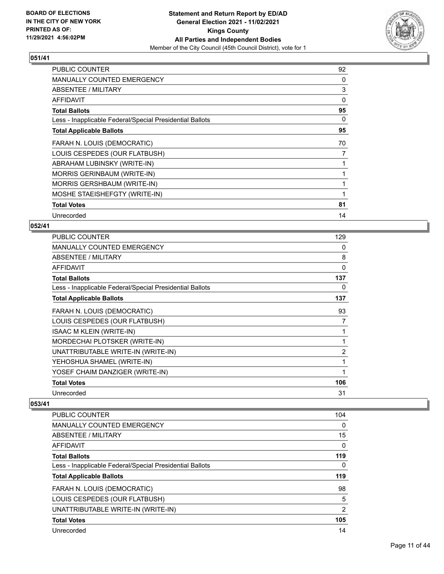

| <b>PUBLIC COUNTER</b>                                    | 92       |
|----------------------------------------------------------|----------|
| MANUALLY COUNTED EMERGENCY                               | 0        |
| ABSENTEE / MILITARY                                      | 3        |
| AFFIDAVIT                                                | $\Omega$ |
| <b>Total Ballots</b>                                     | 95       |
| Less - Inapplicable Federal/Special Presidential Ballots | 0        |
| <b>Total Applicable Ballots</b>                          | 95       |
| FARAH N. LOUIS (DEMOCRATIC)                              | 70       |
| LOUIS CESPEDES (OUR FLATBUSH)                            | 7        |
| ABRAHAM LUBINSKY (WRITE-IN)                              |          |
| <b>MORRIS GERINBAUM (WRITE-IN)</b>                       |          |
| <b>MORRIS GERSHBAUM (WRITE-IN)</b>                       |          |
| MOSHE STAEISHEFGTY (WRITE-IN)                            | 1        |
| <b>Total Votes</b>                                       | 81       |
| Unrecorded                                               | 14       |

# **052/41**

| MANUALLY COUNTED EMERGENCY                               | 0   |
|----------------------------------------------------------|-----|
| ABSENTEE / MILITARY                                      | 8   |
| <b>AFFIDAVIT</b>                                         | 0   |
| <b>Total Ballots</b>                                     | 137 |
| Less - Inapplicable Federal/Special Presidential Ballots | 0   |
| <b>Total Applicable Ballots</b>                          | 137 |
| FARAH N. LOUIS (DEMOCRATIC)                              | 93  |
| LOUIS CESPEDES (OUR FLATBUSH)                            | 7   |
| <b>ISAAC M KLEIN (WRITE-IN)</b>                          | 1   |
| MORDECHAI PLOTSKER (WRITE-IN)                            | 1   |
| UNATTRIBUTABLE WRITE-IN (WRITE-IN)                       | 2   |
| YEHOSHUA SHAMEL (WRITE-IN)                               | 1   |
| YOSEF CHAIM DANZIGER (WRITE-IN)                          | 1   |
| <b>Total Votes</b>                                       | 106 |
| Unrecorded                                               | 31  |

| <b>PUBLIC COUNTER</b>                                    | 104            |
|----------------------------------------------------------|----------------|
| <b>MANUALLY COUNTED EMERGENCY</b>                        | 0              |
| ABSENTEE / MILITARY                                      | 15             |
| AFFIDAVIT                                                | 0              |
| <b>Total Ballots</b>                                     | 119            |
| Less - Inapplicable Federal/Special Presidential Ballots | 0              |
| <b>Total Applicable Ballots</b>                          | 119            |
|                                                          |                |
| FARAH N. LOUIS (DEMOCRATIC)                              | 98             |
| LOUIS CESPEDES (OUR FLATBUSH)                            | 5              |
| UNATTRIBUTABLE WRITE-IN (WRITE-IN)                       | $\overline{2}$ |
| <b>Total Votes</b>                                       | 105            |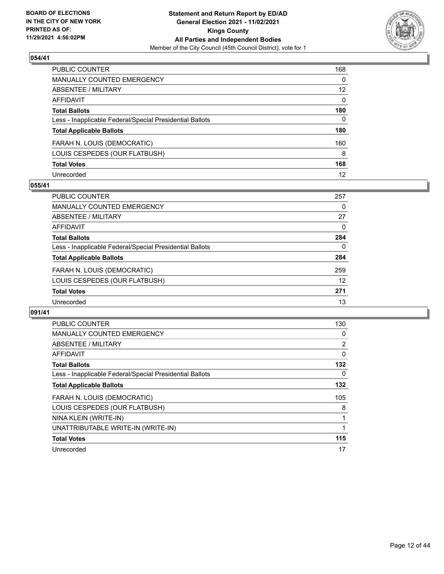

| PUBLIC COUNTER                                           | 168             |
|----------------------------------------------------------|-----------------|
| <b>MANUALLY COUNTED EMERGENCY</b>                        | $\Omega$        |
| <b>ABSENTEE / MILITARY</b>                               | 12 <sup>2</sup> |
| <b>AFFIDAVIT</b>                                         | $\mathbf{0}$    |
| <b>Total Ballots</b>                                     | 180             |
| Less - Inapplicable Federal/Special Presidential Ballots | 0               |
| <b>Total Applicable Ballots</b>                          | 180             |
| FARAH N. LOUIS (DEMOCRATIC)                              | 160             |
| LOUIS CESPEDES (OUR FLATBUSH)                            | 8               |
| <b>Total Votes</b>                                       | 168             |
| Unrecorded                                               | 12              |

## **055/41**

| <b>PUBLIC COUNTER</b>                                    | 257      |
|----------------------------------------------------------|----------|
| <b>MANUALLY COUNTED EMERGENCY</b>                        | 0        |
| ABSENTEE / MILITARY                                      | 27       |
| AFFIDAVIT                                                | $\Omega$ |
| <b>Total Ballots</b>                                     | 284      |
| Less - Inapplicable Federal/Special Presidential Ballots | 0        |
| <b>Total Applicable Ballots</b>                          | 284      |
| FARAH N. LOUIS (DEMOCRATIC)                              | 259      |
| LOUIS CESPEDES (OUR FLATBUSH)                            | 12       |
| <b>Total Votes</b>                                       | 271      |
| Unrecorded                                               | 13       |

| PUBLIC COUNTER                                           | 130 |
|----------------------------------------------------------|-----|
| <b>MANUALLY COUNTED EMERGENCY</b>                        | 0   |
| <b>ABSENTEE / MILITARY</b>                               | 2   |
| <b>AFFIDAVIT</b>                                         | 0   |
| <b>Total Ballots</b>                                     | 132 |
| Less - Inapplicable Federal/Special Presidential Ballots | 0   |
| <b>Total Applicable Ballots</b>                          | 132 |
| FARAH N. LOUIS (DEMOCRATIC)                              | 105 |
| LOUIS CESPEDES (OUR FLATBUSH)                            | 8   |
| NINA KLEIN (WRITE-IN)                                    | 1   |
| UNATTRIBUTABLE WRITE-IN (WRITE-IN)                       | 1   |
| <b>Total Votes</b>                                       | 115 |
| Unrecorded                                               | 17  |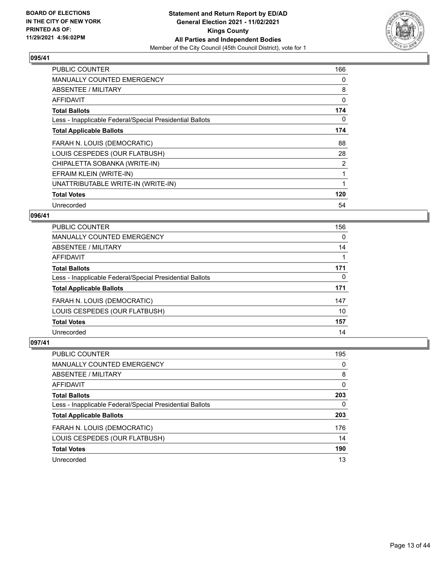

| PUBLIC COUNTER                                           | 166 |
|----------------------------------------------------------|-----|
| <b>MANUALLY COUNTED EMERGENCY</b>                        | 0   |
| ABSENTEE / MILITARY                                      | 8   |
| AFFIDAVIT                                                | 0   |
| <b>Total Ballots</b>                                     | 174 |
| Less - Inapplicable Federal/Special Presidential Ballots | 0   |
| <b>Total Applicable Ballots</b>                          | 174 |
| FARAH N. LOUIS (DEMOCRATIC)                              | 88  |
| LOUIS CESPEDES (OUR FLATBUSH)                            | 28  |
| CHIPALETTA SOBANKA (WRITE-IN)                            | 2   |
| EFRAIM KLEIN (WRITE-IN)                                  |     |
| UNATTRIBUTABLE WRITE-IN (WRITE-IN)                       |     |
| <b>Total Votes</b>                                       | 120 |
| Unrecorded                                               | 54  |

## **096/41**

| <b>PUBLIC COUNTER</b>                                    | 156      |
|----------------------------------------------------------|----------|
| MANUALLY COUNTED EMERGENCY                               | $\Omega$ |
| ABSENTEE / MILITARY                                      | 14       |
| <b>AFFIDAVIT</b>                                         |          |
| <b>Total Ballots</b>                                     | 171      |
| Less - Inapplicable Federal/Special Presidential Ballots | 0        |
| <b>Total Applicable Ballots</b>                          | 171      |
| FARAH N. LOUIS (DEMOCRATIC)                              | 147      |
| LOUIS CESPEDES (OUR FLATBUSH)                            | 10       |
| <b>Total Votes</b>                                       | 157      |
| Unrecorded                                               | 14       |

| PUBLIC COUNTER                                           | 195 |
|----------------------------------------------------------|-----|
| MANUALLY COUNTED EMERGENCY                               | 0   |
| ABSENTEE / MILITARY                                      | 8   |
| AFFIDAVIT                                                | 0   |
| <b>Total Ballots</b>                                     | 203 |
| Less - Inapplicable Federal/Special Presidential Ballots | 0   |
| <b>Total Applicable Ballots</b>                          | 203 |
| FARAH N. LOUIS (DEMOCRATIC)                              | 176 |
| LOUIS CESPEDES (OUR FLATBUSH)                            | 14  |
| <b>Total Votes</b>                                       | 190 |
| Unrecorded                                               | 13  |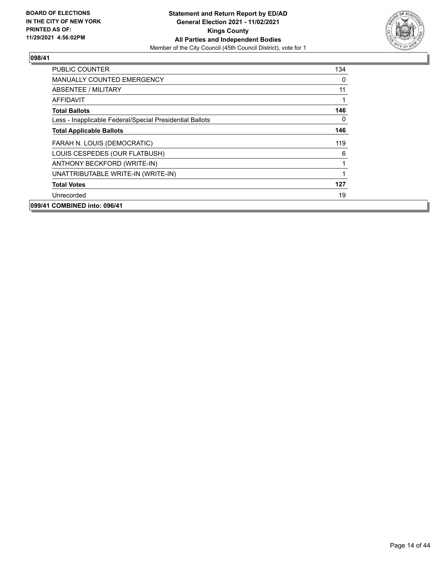

| <b>PUBLIC COUNTER</b>                                    | 134      |
|----------------------------------------------------------|----------|
| <b>MANUALLY COUNTED EMERGENCY</b>                        | 0        |
| ABSENTEE / MILITARY                                      | 11       |
| AFFIDAVIT                                                |          |
| <b>Total Ballots</b>                                     | 146      |
| Less - Inapplicable Federal/Special Presidential Ballots | $\Omega$ |
| <b>Total Applicable Ballots</b>                          | 146      |
| FARAH N. LOUIS (DEMOCRATIC)                              | 119      |
| LOUIS CESPEDES (OUR FLATBUSH)                            | 6        |
| ANTHONY BECKFORD (WRITE-IN)                              |          |
| UNATTRIBUTABLE WRITE-IN (WRITE-IN)                       |          |
| <b>Total Votes</b>                                       | 127      |
| Unrecorded                                               | 19       |
| 099/41 COMBINED into: 096/41                             |          |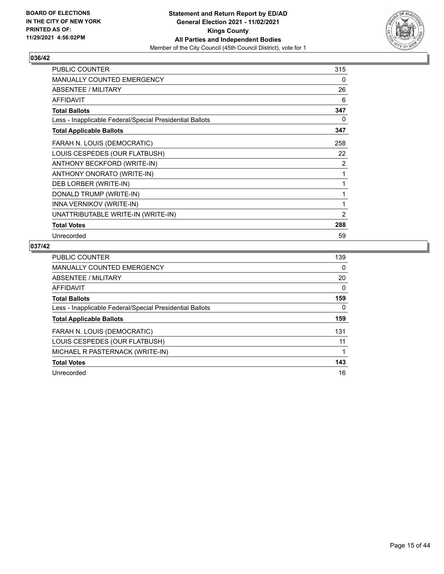

| <b>PUBLIC COUNTER</b>                                    | 315            |
|----------------------------------------------------------|----------------|
| <b>MANUALLY COUNTED EMERGENCY</b>                        | 0              |
| <b>ABSENTEE / MILITARY</b>                               | 26             |
| <b>AFFIDAVIT</b>                                         | 6              |
| <b>Total Ballots</b>                                     | 347            |
| Less - Inapplicable Federal/Special Presidential Ballots | 0              |
| <b>Total Applicable Ballots</b>                          | 347            |
| FARAH N. LOUIS (DEMOCRATIC)                              | 258            |
| LOUIS CESPEDES (OUR FLATBUSH)                            | 22             |
| ANTHONY BECKFORD (WRITE-IN)                              | 2              |
| ANTHONY ONORATO (WRITE-IN)                               | 1              |
| DEB LORBER (WRITE-IN)                                    | 1              |
| DONALD TRUMP (WRITE-IN)                                  | 1              |
| INNA VERNIKOV (WRITE-IN)                                 | 1              |
| UNATTRIBUTABLE WRITE-IN (WRITE-IN)                       | $\overline{2}$ |
| <b>Total Votes</b>                                       | 288            |
| Unrecorded                                               | 59             |

| <b>PUBLIC COUNTER</b>                                    | 139 |
|----------------------------------------------------------|-----|
| <b>MANUALLY COUNTED EMERGENCY</b>                        | 0   |
| ABSENTEE / MILITARY                                      | 20  |
| AFFIDAVIT                                                | 0   |
| <b>Total Ballots</b>                                     | 159 |
| Less - Inapplicable Federal/Special Presidential Ballots | 0   |
| <b>Total Applicable Ballots</b>                          | 159 |
| FARAH N. LOUIS (DEMOCRATIC)                              | 131 |
| LOUIS CESPEDES (OUR FLATBUSH)                            | 11  |
| MICHAEL R PASTERNACK (WRITE-IN)                          |     |
| <b>Total Votes</b>                                       | 143 |
| Unrecorded                                               | 16  |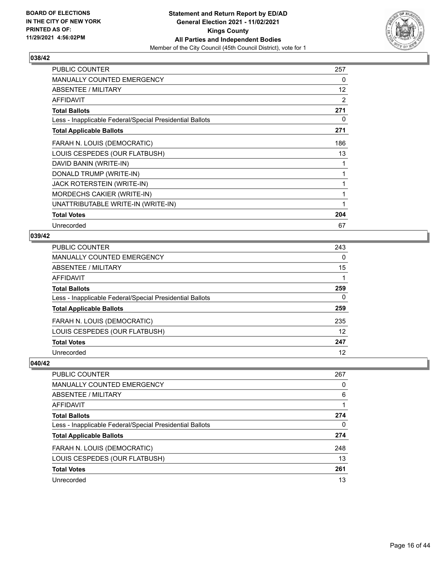

| <b>PUBLIC COUNTER</b>                                    | 257 |
|----------------------------------------------------------|-----|
| MANUALLY COUNTED EMERGENCY                               | 0   |
| ABSENTEE / MILITARY                                      | 12  |
| <b>AFFIDAVIT</b>                                         | 2   |
| <b>Total Ballots</b>                                     | 271 |
| Less - Inapplicable Federal/Special Presidential Ballots | 0   |
| <b>Total Applicable Ballots</b>                          | 271 |
| FARAH N. LOUIS (DEMOCRATIC)                              | 186 |
| LOUIS CESPEDES (OUR FLATBUSH)                            | 13  |
| DAVID BANIN (WRITE-IN)                                   |     |
| DONALD TRUMP (WRITE-IN)                                  | 1   |
| JACK ROTERSTEIN (WRITE-IN)                               |     |
| MORDECHS CAKIER (WRITE-IN)                               | 1   |
| UNATTRIBUTABLE WRITE-IN (WRITE-IN)                       |     |
| <b>Total Votes</b>                                       | 204 |
| Unrecorded                                               | 67  |

## **039/42**

| PUBLIC COUNTER                                           | 243 |
|----------------------------------------------------------|-----|
| MANUALLY COUNTED EMERGENCY                               | 0   |
| ABSENTEE / MILITARY                                      | 15  |
| AFFIDAVIT                                                |     |
| <b>Total Ballots</b>                                     | 259 |
| Less - Inapplicable Federal/Special Presidential Ballots | 0   |
| <b>Total Applicable Ballots</b>                          | 259 |
| FARAH N. LOUIS (DEMOCRATIC)                              | 235 |
| LOUIS CESPEDES (OUR FLATBUSH)                            | 12  |
| <b>Total Votes</b>                                       | 247 |
| Unrecorded                                               | 12  |

| PUBLIC COUNTER                                           | 267      |
|----------------------------------------------------------|----------|
| MANUALLY COUNTED EMERGENCY                               | $\Omega$ |
| ABSENTEE / MILITARY                                      | 6        |
| AFFIDAVIT                                                |          |
| <b>Total Ballots</b>                                     | 274      |
| Less - Inapplicable Federal/Special Presidential Ballots | 0        |
| <b>Total Applicable Ballots</b>                          | 274      |
| FARAH N. LOUIS (DEMOCRATIC)                              | 248      |
| LOUIS CESPEDES (OUR FLATBUSH)                            | 13       |
| <b>Total Votes</b>                                       | 261      |
| Unrecorded                                               | 13       |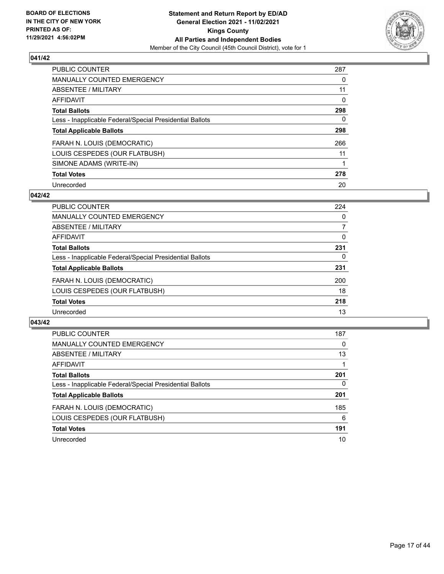

| <b>PUBLIC COUNTER</b>                                    | 287 |
|----------------------------------------------------------|-----|
| <b>MANUALLY COUNTED EMERGENCY</b>                        | 0   |
| ABSENTEE / MILITARY                                      | 11  |
| <b>AFFIDAVIT</b>                                         | 0   |
| <b>Total Ballots</b>                                     | 298 |
| Less - Inapplicable Federal/Special Presidential Ballots | 0   |
| <b>Total Applicable Ballots</b>                          | 298 |
| FARAH N. LOUIS (DEMOCRATIC)                              | 266 |
| LOUIS CESPEDES (OUR FLATBUSH)                            | 11  |
| SIMONE ADAMS (WRITE-IN)                                  |     |
| <b>Total Votes</b>                                       | 278 |
| Unrecorded                                               | 20  |

#### **042/42**

| <b>PUBLIC COUNTER</b>                                    | 224      |
|----------------------------------------------------------|----------|
| <b>MANUALLY COUNTED EMERGENCY</b>                        | $\Omega$ |
| ABSENTEE / MILITARY                                      | 7        |
| AFFIDAVIT                                                | 0        |
| <b>Total Ballots</b>                                     | 231      |
| Less - Inapplicable Federal/Special Presidential Ballots | 0        |
| <b>Total Applicable Ballots</b>                          | 231      |
| FARAH N. LOUIS (DEMOCRATIC)                              | 200      |
| LOUIS CESPEDES (OUR FLATBUSH)                            | 18       |
| <b>Total Votes</b>                                       | 218      |
| Unrecorded                                               | 13       |

| PUBLIC COUNTER                                           | 187 |
|----------------------------------------------------------|-----|
| <b>MANUALLY COUNTED EMERGENCY</b>                        | 0   |
| ABSENTEE / MILITARY                                      | 13  |
| AFFIDAVIT                                                |     |
| <b>Total Ballots</b>                                     | 201 |
| Less - Inapplicable Federal/Special Presidential Ballots | 0   |
| <b>Total Applicable Ballots</b>                          | 201 |
| FARAH N. LOUIS (DEMOCRATIC)                              | 185 |
| LOUIS CESPEDES (OUR FLATBUSH)                            | 6   |
| <b>Total Votes</b>                                       | 191 |
| Unrecorded                                               | 10  |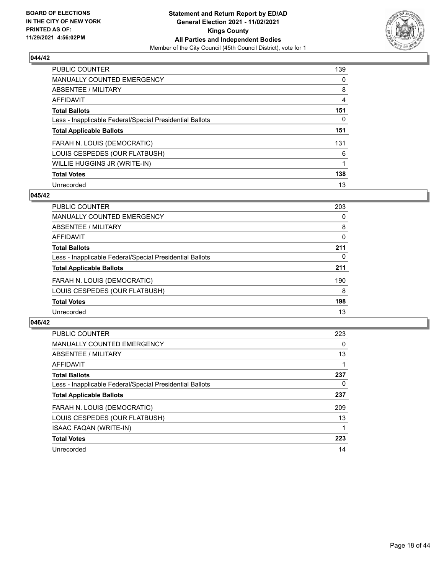

| <b>PUBLIC COUNTER</b>                                    | 139      |
|----------------------------------------------------------|----------|
| <b>MANUALLY COUNTED EMERGENCY</b>                        | $\Omega$ |
| <b>ABSENTEE / MILITARY</b>                               | 8        |
| <b>AFFIDAVIT</b>                                         | 4        |
| <b>Total Ballots</b>                                     | 151      |
| Less - Inapplicable Federal/Special Presidential Ballots | 0        |
| <b>Total Applicable Ballots</b>                          | 151      |
| FARAH N. LOUIS (DEMOCRATIC)                              | 131      |
| LOUIS CESPEDES (OUR FLATBUSH)                            | 6        |
| WILLIE HUGGINS JR (WRITE-IN)                             |          |
| <b>Total Votes</b>                                       | 138      |
| Unrecorded                                               | 13       |

#### **045/42**

| PUBLIC COUNTER                                           | 203 |
|----------------------------------------------------------|-----|
| <b>MANUALLY COUNTED EMERGENCY</b>                        | 0   |
| ABSENTEE / MILITARY                                      | 8   |
| <b>AFFIDAVIT</b>                                         | 0   |
| <b>Total Ballots</b>                                     | 211 |
| Less - Inapplicable Federal/Special Presidential Ballots | 0   |
| <b>Total Applicable Ballots</b>                          | 211 |
| FARAH N. LOUIS (DEMOCRATIC)                              | 190 |
| LOUIS CESPEDES (OUR FLATBUSH)                            | 8   |
| <b>Total Votes</b>                                       | 198 |
| Unrecorded                                               | 13  |

| <b>PUBLIC COUNTER</b>                                    | 223      |
|----------------------------------------------------------|----------|
| MANUALLY COUNTED EMERGENCY                               | $\Omega$ |
| ABSENTEE / MILITARY                                      | 13       |
| AFFIDAVIT                                                |          |
| <b>Total Ballots</b>                                     | 237      |
| Less - Inapplicable Federal/Special Presidential Ballots | 0        |
| <b>Total Applicable Ballots</b>                          | 237      |
| FARAH N. LOUIS (DEMOCRATIC)                              | 209      |
| LOUIS CESPEDES (OUR FLATBUSH)                            | 13       |
| <b>ISAAC FAQAN (WRITE-IN)</b>                            |          |
| <b>Total Votes</b>                                       | 223      |
| Unrecorded                                               | 14       |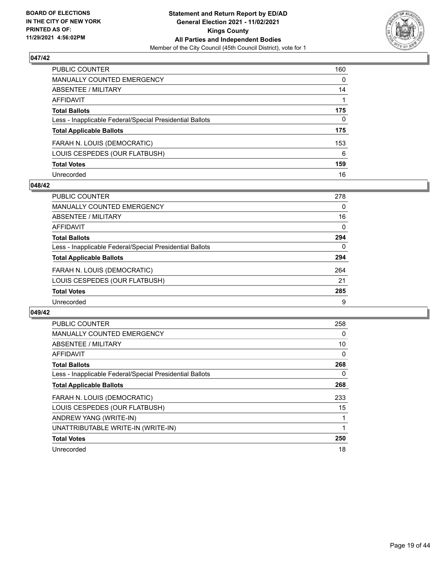

| PUBLIC COUNTER                                           | 160 |
|----------------------------------------------------------|-----|
| <b>MANUALLY COUNTED EMERGENCY</b>                        | 0   |
| <b>ABSENTEE / MILITARY</b>                               | 14  |
| <b>AFFIDAVIT</b>                                         |     |
| <b>Total Ballots</b>                                     | 175 |
| Less - Inapplicable Federal/Special Presidential Ballots | 0   |
| <b>Total Applicable Ballots</b>                          | 175 |
| FARAH N. LOUIS (DEMOCRATIC)                              | 153 |
| LOUIS CESPEDES (OUR FLATBUSH)                            | 6   |
| <b>Total Votes</b>                                       | 159 |
| Unrecorded                                               | 16  |

## **048/42**

| PUBLIC COUNTER                                           | 278      |
|----------------------------------------------------------|----------|
| <b>MANUALLY COUNTED EMERGENCY</b>                        | 0        |
| ABSENTEE / MILITARY                                      | 16       |
| AFFIDAVIT                                                | $\Omega$ |
| <b>Total Ballots</b>                                     | 294      |
| Less - Inapplicable Federal/Special Presidential Ballots | 0        |
| <b>Total Applicable Ballots</b>                          | 294      |
| FARAH N. LOUIS (DEMOCRATIC)                              | 264      |
| LOUIS CESPEDES (OUR FLATBUSH)                            | 21       |
| <b>Total Votes</b>                                       | 285      |
| Unrecorded                                               | 9        |

| <b>PUBLIC COUNTER</b>                                    | 258 |
|----------------------------------------------------------|-----|
| <b>MANUALLY COUNTED EMERGENCY</b>                        | 0   |
| ABSENTEE / MILITARY                                      | 10  |
| AFFIDAVIT                                                | 0   |
| <b>Total Ballots</b>                                     | 268 |
| Less - Inapplicable Federal/Special Presidential Ballots | 0   |
| <b>Total Applicable Ballots</b>                          | 268 |
| FARAH N. LOUIS (DEMOCRATIC)                              | 233 |
| LOUIS CESPEDES (OUR FLATBUSH)                            | 15  |
| ANDREW YANG (WRITE-IN)                                   |     |
| UNATTRIBUTABLE WRITE-IN (WRITE-IN)                       |     |
| <b>Total Votes</b>                                       | 250 |
| Unrecorded                                               | 18  |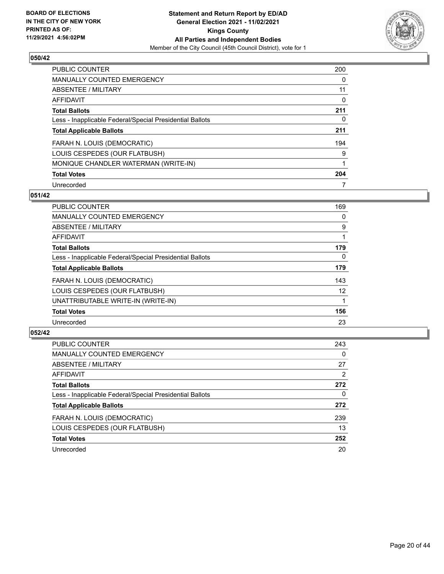

| <b>PUBLIC COUNTER</b>                                    | 200 |
|----------------------------------------------------------|-----|
| <b>MANUALLY COUNTED EMERGENCY</b>                        | 0   |
| ABSENTEE / MILITARY                                      | 11  |
| AFFIDAVIT                                                | 0   |
| <b>Total Ballots</b>                                     | 211 |
| Less - Inapplicable Federal/Special Presidential Ballots | 0   |
| <b>Total Applicable Ballots</b>                          | 211 |
| FARAH N. LOUIS (DEMOCRATIC)                              | 194 |
| LOUIS CESPEDES (OUR FLATBUSH)                            | 9   |
| MONIQUE CHANDLER WATERMAN (WRITE-IN)                     |     |
| <b>Total Votes</b>                                       | 204 |
| Unrecorded                                               |     |

## **051/42**

| PUBLIC COUNTER                                           | 169      |
|----------------------------------------------------------|----------|
| <b>MANUALLY COUNTED EMERGENCY</b>                        | 0        |
| ABSENTEE / MILITARY                                      | 9        |
| <b>AFFIDAVIT</b>                                         |          |
| <b>Total Ballots</b>                                     | 179      |
| Less - Inapplicable Federal/Special Presidential Ballots | $\Omega$ |
| <b>Total Applicable Ballots</b>                          | 179      |
| FARAH N. LOUIS (DEMOCRATIC)                              | 143      |
| LOUIS CESPEDES (OUR FLATBUSH)                            | 12       |
| UNATTRIBUTABLE WRITE-IN (WRITE-IN)                       |          |
| <b>Total Votes</b>                                       | 156      |
| Unrecorded                                               | 23       |

| <b>PUBLIC COUNTER</b>                                    | 243      |
|----------------------------------------------------------|----------|
| <b>MANUALLY COUNTED EMERGENCY</b>                        | $\Omega$ |
| ABSENTEE / MILITARY                                      | 27       |
| AFFIDAVIT                                                | 2        |
| <b>Total Ballots</b>                                     | 272      |
| Less - Inapplicable Federal/Special Presidential Ballots | $\Omega$ |
| <b>Total Applicable Ballots</b>                          | 272      |
| FARAH N. LOUIS (DEMOCRATIC)                              | 239      |
| LOUIS CESPEDES (OUR FLATBUSH)                            | 13       |
| <b>Total Votes</b>                                       | 252      |
| Unrecorded                                               | 20       |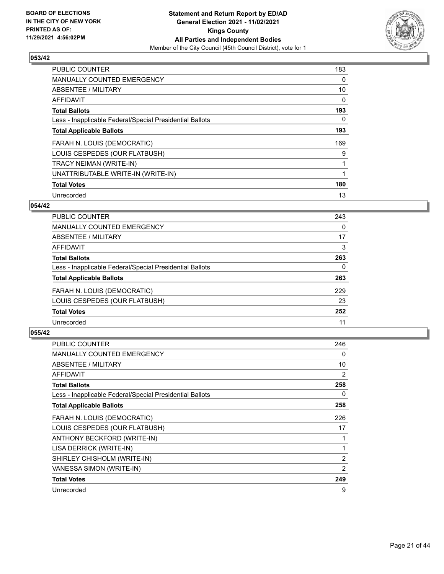

| <b>PUBLIC COUNTER</b>                                    | 183      |
|----------------------------------------------------------|----------|
| <b>MANUALLY COUNTED EMERGENCY</b>                        | $\Omega$ |
| ABSENTEE / MILITARY                                      | 10       |
| <b>AFFIDAVIT</b>                                         | 0        |
| <b>Total Ballots</b>                                     | 193      |
| Less - Inapplicable Federal/Special Presidential Ballots | 0        |
| <b>Total Applicable Ballots</b>                          | 193      |
| FARAH N. LOUIS (DEMOCRATIC)                              | 169      |
| LOUIS CESPEDES (OUR FLATBUSH)                            | 9        |
| TRACY NEIMAN (WRITE-IN)                                  |          |
| UNATTRIBUTABLE WRITE-IN (WRITE-IN)                       |          |
| <b>Total Votes</b>                                       | 180      |
| Unrecorded                                               | 13       |

## **054/42**

| <b>PUBLIC COUNTER</b>                                    | 243 |
|----------------------------------------------------------|-----|
| <b>MANUALLY COUNTED EMERGENCY</b>                        | 0   |
| ABSENTEE / MILITARY                                      | 17  |
| AFFIDAVIT                                                | 3   |
| <b>Total Ballots</b>                                     | 263 |
| Less - Inapplicable Federal/Special Presidential Ballots | 0   |
| <b>Total Applicable Ballots</b>                          | 263 |
| FARAH N. LOUIS (DEMOCRATIC)                              | 229 |
| LOUIS CESPEDES (OUR FLATBUSH)                            | 23  |
| <b>Total Votes</b>                                       | 252 |
| Unrecorded                                               | 11  |

| <b>PUBLIC COUNTER</b>                                    | 246 |
|----------------------------------------------------------|-----|
| <b>MANUALLY COUNTED EMERGENCY</b>                        | 0   |
| ABSENTEE / MILITARY                                      | 10  |
| <b>AFFIDAVIT</b>                                         | 2   |
| <b>Total Ballots</b>                                     | 258 |
| Less - Inapplicable Federal/Special Presidential Ballots | 0   |
| <b>Total Applicable Ballots</b>                          | 258 |
| FARAH N. LOUIS (DEMOCRATIC)                              | 226 |
| LOUIS CESPEDES (OUR FLATBUSH)                            | 17  |
| ANTHONY BECKFORD (WRITE-IN)                              |     |
| LISA DERRICK (WRITE-IN)                                  | 1   |
| SHIRLEY CHISHOLM (WRITE-IN)                              | 2   |
| VANESSA SIMON (WRITE-IN)                                 | 2   |
| <b>Total Votes</b>                                       | 249 |
| Unrecorded                                               | 9   |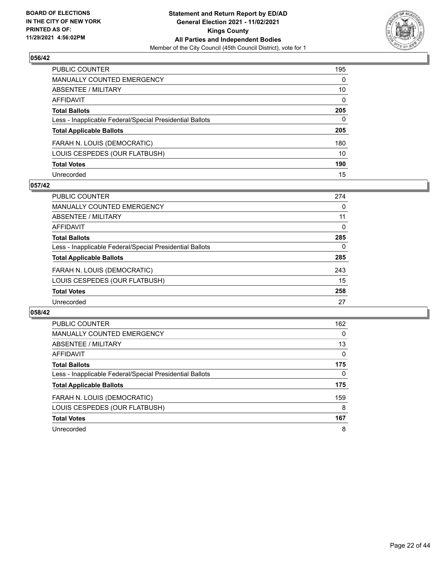

| PUBLIC COUNTER                                           | 195          |
|----------------------------------------------------------|--------------|
| <b>MANUALLY COUNTED EMERGENCY</b>                        | $\mathbf{0}$ |
| <b>ABSENTEE / MILITARY</b>                               | 10           |
| AFFIDAVIT                                                | $\mathbf{0}$ |
| <b>Total Ballots</b>                                     | 205          |
| Less - Inapplicable Federal/Special Presidential Ballots | $\mathbf{0}$ |
| <b>Total Applicable Ballots</b>                          | 205          |
| FARAH N. LOUIS (DEMOCRATIC)                              | 180          |
| LOUIS CESPEDES (OUR FLATBUSH)                            | 10           |
| <b>Total Votes</b>                                       | 190          |
| Unrecorded                                               | 15           |

## **057/42**

| PUBLIC COUNTER                                           | 274 |
|----------------------------------------------------------|-----|
| <b>MANUALLY COUNTED EMERGENCY</b>                        | 0   |
| ABSENTEE / MILITARY                                      | 11  |
| AFFIDAVIT                                                | 0   |
| <b>Total Ballots</b>                                     | 285 |
| Less - Inapplicable Federal/Special Presidential Ballots | 0   |
| <b>Total Applicable Ballots</b>                          | 285 |
| FARAH N. LOUIS (DEMOCRATIC)                              | 243 |
| LOUIS CESPEDES (OUR FLATBUSH)                            | 15  |
| <b>Total Votes</b>                                       | 258 |
| Unrecorded                                               | 27  |

| <b>PUBLIC COUNTER</b>                                    | 162      |
|----------------------------------------------------------|----------|
| <b>MANUALLY COUNTED EMERGENCY</b>                        | $\Omega$ |
| ABSENTEE / MILITARY                                      | 13       |
| <b>AFFIDAVIT</b>                                         | 0        |
| <b>Total Ballots</b>                                     | 175      |
| Less - Inapplicable Federal/Special Presidential Ballots | $\Omega$ |
| <b>Total Applicable Ballots</b>                          | 175      |
| FARAH N. LOUIS (DEMOCRATIC)                              | 159      |
| LOUIS CESPEDES (OUR FLATBUSH)                            | 8        |
| <b>Total Votes</b>                                       | 167      |
| Unrecorded                                               | 8        |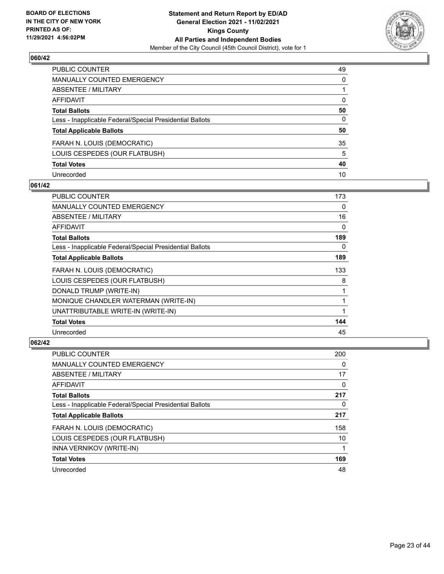

| PUBLIC COUNTER                                           | 49           |
|----------------------------------------------------------|--------------|
| <b>MANUALLY COUNTED EMERGENCY</b>                        | $\mathbf{0}$ |
| ABSENTEE / MILITARY                                      |              |
| AFFIDAVIT                                                | $\mathbf{0}$ |
| <b>Total Ballots</b>                                     | 50           |
| Less - Inapplicable Federal/Special Presidential Ballots | 0            |
| <b>Total Applicable Ballots</b>                          | 50           |
| FARAH N. LOUIS (DEMOCRATIC)                              | 35           |
| LOUIS CESPEDES (OUR FLATBUSH)                            | 5            |
| <b>Total Votes</b>                                       | 40           |
| Unrecorded                                               | 10           |

## **061/42**

| PUBLIC COUNTER                                           | 173 |
|----------------------------------------------------------|-----|
| <b>MANUALLY COUNTED EMERGENCY</b>                        | 0   |
| ABSENTEE / MILITARY                                      | 16  |
| AFFIDAVIT                                                | 0   |
| <b>Total Ballots</b>                                     | 189 |
| Less - Inapplicable Federal/Special Presidential Ballots | 0   |
| <b>Total Applicable Ballots</b>                          | 189 |
| FARAH N. LOUIS (DEMOCRATIC)                              | 133 |
| LOUIS CESPEDES (OUR FLATBUSH)                            | 8   |
| DONALD TRUMP (WRITE-IN)                                  |     |
| MONIQUE CHANDLER WATERMAN (WRITE-IN)                     |     |
| UNATTRIBUTABLE WRITE-IN (WRITE-IN)                       |     |
| <b>Total Votes</b>                                       | 144 |
| Unrecorded                                               | 45  |

| <b>PUBLIC COUNTER</b>                                    | 200 |
|----------------------------------------------------------|-----|
| <b>MANUALLY COUNTED EMERGENCY</b>                        | 0   |
| <b>ABSENTEE / MILITARY</b>                               | 17  |
| AFFIDAVIT                                                | 0   |
| <b>Total Ballots</b>                                     | 217 |
| Less - Inapplicable Federal/Special Presidential Ballots | 0   |
| <b>Total Applicable Ballots</b>                          | 217 |
| FARAH N. LOUIS (DEMOCRATIC)                              | 158 |
| LOUIS CESPEDES (OUR FLATBUSH)                            | 10  |
| INNA VERNIKOV (WRITE-IN)                                 |     |
| <b>Total Votes</b>                                       | 169 |
| Unrecorded                                               | 48  |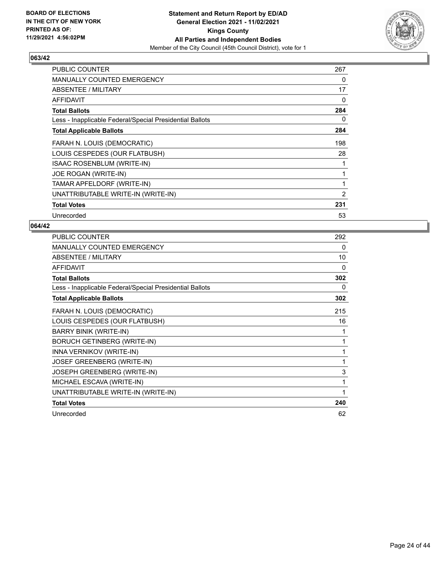

| <b>PUBLIC COUNTER</b>                                    | 267            |
|----------------------------------------------------------|----------------|
| <b>MANUALLY COUNTED EMERGENCY</b>                        | 0              |
| ABSENTEE / MILITARY                                      | 17             |
| AFFIDAVIT                                                | $\Omega$       |
| <b>Total Ballots</b>                                     | 284            |
| Less - Inapplicable Federal/Special Presidential Ballots | 0              |
| <b>Total Applicable Ballots</b>                          | 284            |
| FARAH N. LOUIS (DEMOCRATIC)                              | 198            |
| LOUIS CESPEDES (OUR FLATBUSH)                            | 28             |
| ISAAC ROSENBLUM (WRITE-IN)                               |                |
| JOE ROGAN (WRITE-IN)                                     |                |
| TAMAR APFELDORF (WRITE-IN)                               | 1              |
| UNATTRIBUTABLE WRITE-IN (WRITE-IN)                       | $\overline{2}$ |
| <b>Total Votes</b>                                       | 231            |
| Unrecorded                                               | 53             |

| PUBLIC COUNTER                                           | 292 |
|----------------------------------------------------------|-----|
| MANUALLY COUNTED EMERGENCY                               | 0   |
| ABSENTEE / MILITARY                                      | 10  |
| <b>AFFIDAVIT</b>                                         | 0   |
| <b>Total Ballots</b>                                     | 302 |
| Less - Inapplicable Federal/Special Presidential Ballots | 0   |
| <b>Total Applicable Ballots</b>                          | 302 |
| FARAH N. LOUIS (DEMOCRATIC)                              | 215 |
| LOUIS CESPEDES (OUR FLATBUSH)                            | 16  |
| <b>BARRY BINIK (WRITE-IN)</b>                            | 1   |
| <b>BORUCH GETINBERG (WRITE-IN)</b>                       | 1   |
| INNA VERNIKOV (WRITE-IN)                                 | 1   |
| JOSEF GREENBERG (WRITE-IN)                               | 1   |
| <b>JOSEPH GREENBERG (WRITE-IN)</b>                       | 3   |
| MICHAEL ESCAVA (WRITE-IN)                                | 1   |
| UNATTRIBUTABLE WRITE-IN (WRITE-IN)                       | 1   |
| <b>Total Votes</b>                                       | 240 |
| Unrecorded                                               | 62  |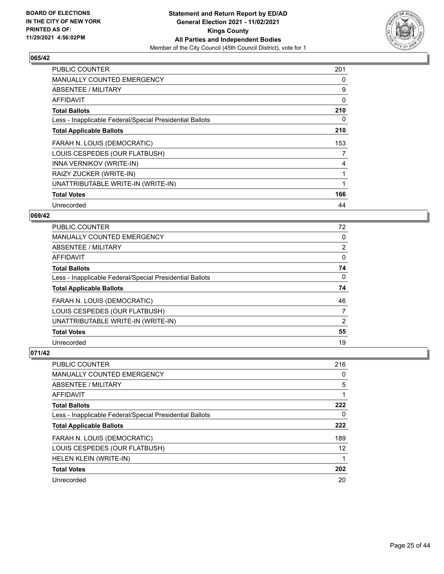

| <b>PUBLIC COUNTER</b>                                    | 201 |
|----------------------------------------------------------|-----|
| <b>MANUALLY COUNTED EMERGENCY</b>                        | 0   |
| ABSENTEE / MILITARY                                      | 9   |
| <b>AFFIDAVIT</b>                                         | 0   |
| <b>Total Ballots</b>                                     | 210 |
| Less - Inapplicable Federal/Special Presidential Ballots | 0   |
| <b>Total Applicable Ballots</b>                          | 210 |
| FARAH N. LOUIS (DEMOCRATIC)                              | 153 |
| LOUIS CESPEDES (OUR FLATBUSH)                            | 7   |
| INNA VERNIKOV (WRITE-IN)                                 | 4   |
| RAIZY ZUCKER (WRITE-IN)                                  |     |
| UNATTRIBUTABLE WRITE-IN (WRITE-IN)                       |     |
| <b>Total Votes</b>                                       | 166 |
| Unrecorded                                               | 44  |

## **069/42**

| PUBLIC COUNTER                                           | 72             |
|----------------------------------------------------------|----------------|
| MANUALLY COUNTED EMERGENCY                               | $\Omega$       |
| ABSENTEE / MILITARY                                      | $\overline{2}$ |
| AFFIDAVIT                                                | $\Omega$       |
| <b>Total Ballots</b>                                     | 74             |
| Less - Inapplicable Federal/Special Presidential Ballots | $\Omega$       |
| <b>Total Applicable Ballots</b>                          | 74             |
| FARAH N. LOUIS (DEMOCRATIC)                              | 46             |
| LOUIS CESPEDES (OUR FLATBUSH)                            | 7              |
| UNATTRIBUTABLE WRITE-IN (WRITE-IN)                       | 2              |
| <b>Total Votes</b>                                       | 55             |
| Unrecorded                                               | 19             |

| PUBLIC COUNTER                                           | 216 |
|----------------------------------------------------------|-----|
| MANUALLY COUNTED EMERGENCY                               | 0   |
| ABSENTEE / MILITARY                                      | 5   |
| AFFIDAVIT                                                |     |
| <b>Total Ballots</b>                                     | 222 |
| Less - Inapplicable Federal/Special Presidential Ballots | 0   |
| <b>Total Applicable Ballots</b>                          | 222 |
| FARAH N. LOUIS (DEMOCRATIC)                              | 189 |
| LOUIS CESPEDES (OUR FLATBUSH)                            | 12  |
| HELEN KLEIN (WRITE-IN)                                   | 1   |
| <b>Total Votes</b>                                       | 202 |
|                                                          |     |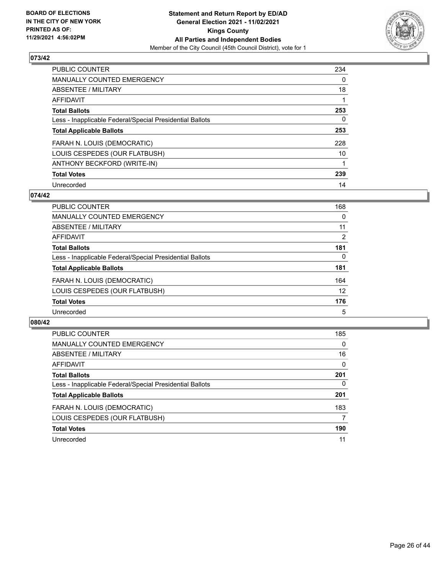

| <b>PUBLIC COUNTER</b>                                    | 234      |
|----------------------------------------------------------|----------|
| <b>MANUALLY COUNTED EMERGENCY</b>                        | $\Omega$ |
| ABSENTEE / MILITARY                                      | 18       |
| <b>AFFIDAVIT</b>                                         |          |
| <b>Total Ballots</b>                                     | 253      |
| Less - Inapplicable Federal/Special Presidential Ballots | 0        |
| <b>Total Applicable Ballots</b>                          | 253      |
| FARAH N. LOUIS (DEMOCRATIC)                              | 228      |
| LOUIS CESPEDES (OUR FLATBUSH)                            | 10       |
| ANTHONY BECKFORD (WRITE-IN)                              |          |
| <b>Total Votes</b>                                       | 239      |
| Unrecorded                                               | 14       |

## **074/42**

| PUBLIC COUNTER                                           | 168      |
|----------------------------------------------------------|----------|
| <b>MANUALLY COUNTED EMERGENCY</b>                        | 0        |
| ABSENTEE / MILITARY                                      | 11       |
| AFFIDAVIT                                                | 2        |
| <b>Total Ballots</b>                                     | 181      |
| Less - Inapplicable Federal/Special Presidential Ballots | $\Omega$ |
| <b>Total Applicable Ballots</b>                          | 181      |
| FARAH N. LOUIS (DEMOCRATIC)                              | 164      |
| LOUIS CESPEDES (OUR FLATBUSH)                            | 12       |
| <b>Total Votes</b>                                       | 176      |
| Unrecorded                                               | 5        |

| PUBLIC COUNTER                                           | 185      |
|----------------------------------------------------------|----------|
| <b>MANUALLY COUNTED EMERGENCY</b>                        | $\Omega$ |
| ABSENTEE / MILITARY                                      | 16       |
| AFFIDAVIT                                                | $\Omega$ |
| <b>Total Ballots</b>                                     | 201      |
| Less - Inapplicable Federal/Special Presidential Ballots | $\Omega$ |
| <b>Total Applicable Ballots</b>                          | 201      |
| FARAH N. LOUIS (DEMOCRATIC)                              | 183      |
| LOUIS CESPEDES (OUR FLATBUSH)                            | 7        |
| <b>Total Votes</b>                                       | 190      |
| Unrecorded                                               | 11       |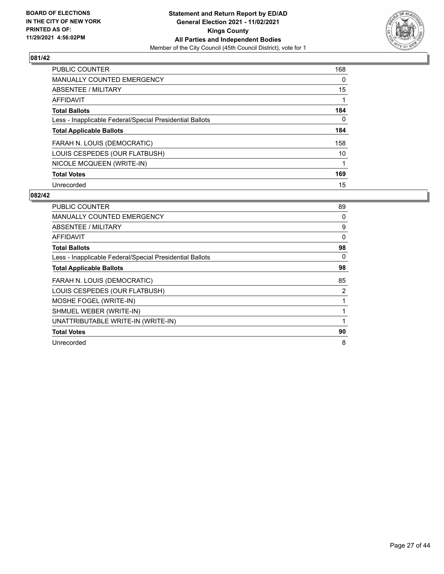

| PUBLIC COUNTER                                           | 168      |
|----------------------------------------------------------|----------|
| <b>MANUALLY COUNTED EMERGENCY</b>                        | $\Omega$ |
| ABSENTEE / MILITARY                                      | 15       |
| <b>AFFIDAVIT</b>                                         |          |
| <b>Total Ballots</b>                                     | 184      |
| Less - Inapplicable Federal/Special Presidential Ballots | 0        |
| <b>Total Applicable Ballots</b>                          | 184      |
| FARAH N. LOUIS (DEMOCRATIC)                              | 158      |
| LOUIS CESPEDES (OUR FLATBUSH)                            | 10       |
| NICOLE MCQUEEN (WRITE-IN)                                |          |
| <b>Total Votes</b>                                       | 169      |
| Unrecorded                                               | 15       |

| PUBLIC COUNTER                                           | 89       |
|----------------------------------------------------------|----------|
| <b>MANUALLY COUNTED EMERGENCY</b>                        | 0        |
| ABSENTEE / MILITARY                                      | 9        |
| AFFIDAVIT                                                | $\Omega$ |
| <b>Total Ballots</b>                                     | 98       |
| Less - Inapplicable Federal/Special Presidential Ballots | 0        |
| <b>Total Applicable Ballots</b>                          | 98       |
| FARAH N. LOUIS (DEMOCRATIC)                              | 85       |
| LOUIS CESPEDES (OUR FLATBUSH)                            | 2        |
| MOSHE FOGEL (WRITE-IN)                                   | 1        |
| SHMUEL WEBER (WRITE-IN)                                  | 1        |
| UNATTRIBUTABLE WRITE-IN (WRITE-IN)                       | 1        |
| <b>Total Votes</b>                                       | 90       |
| Unrecorded                                               | 8        |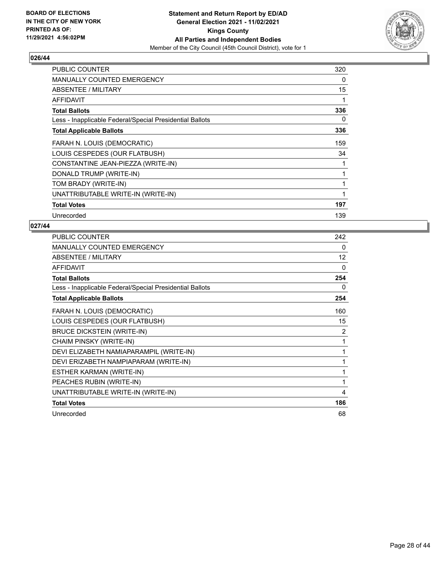

| <b>PUBLIC COUNTER</b>                                    | 320 |
|----------------------------------------------------------|-----|
| <b>MANUALLY COUNTED EMERGENCY</b>                        | 0   |
| ABSENTEE / MILITARY                                      | 15  |
| <b>AFFIDAVIT</b>                                         | 1   |
| <b>Total Ballots</b>                                     | 336 |
| Less - Inapplicable Federal/Special Presidential Ballots | 0   |
| <b>Total Applicable Ballots</b>                          | 336 |
| FARAH N. LOUIS (DEMOCRATIC)                              | 159 |
| LOUIS CESPEDES (OUR FLATBUSH)                            | 34  |
| CONSTANTINE JEAN-PIEZZA (WRITE-IN)                       | 1   |
| DONALD TRUMP (WRITE-IN)                                  | 1   |
| TOM BRADY (WRITE-IN)                                     | 1   |
| UNATTRIBUTABLE WRITE-IN (WRITE-IN)                       | 1   |
| <b>Total Votes</b>                                       | 197 |
| Unrecorded                                               | 139 |

| PUBLIC COUNTER                                           | 242          |
|----------------------------------------------------------|--------------|
| MANUALLY COUNTED EMERGENCY                               | 0            |
| <b>ABSENTEE / MILITARY</b>                               | 12           |
| <b>AFFIDAVIT</b>                                         | 0            |
| <b>Total Ballots</b>                                     | 254          |
| Less - Inapplicable Federal/Special Presidential Ballots | 0            |
| <b>Total Applicable Ballots</b>                          | 254          |
| FARAH N. LOUIS (DEMOCRATIC)                              | 160          |
| LOUIS CESPEDES (OUR FLATBUSH)                            | 15           |
| <b>BRUCE DICKSTEIN (WRITE-IN)</b>                        | 2            |
| CHAIM PINSKY (WRITE-IN)                                  | 1            |
| DEVI ELIZABETH NAMIAPARAMPIL (WRITE-IN)                  | 1            |
| DEVI ERIZABETH NAMPIAPARAM (WRITE-IN)                    | 1            |
| ESTHER KARMAN (WRITE-IN)                                 | 1            |
| PEACHES RUBIN (WRITE-IN)                                 | $\mathbf{1}$ |
| UNATTRIBUTABLE WRITE-IN (WRITE-IN)                       | 4            |
| <b>Total Votes</b>                                       | 186          |
| Unrecorded                                               | 68           |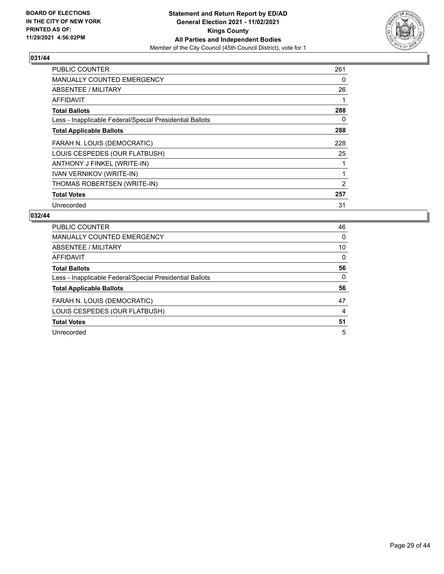

| <b>PUBLIC COUNTER</b>                                    | 261 |
|----------------------------------------------------------|-----|
| <b>MANUALLY COUNTED EMERGENCY</b>                        | 0   |
| <b>ABSENTEE / MILITARY</b>                               | 26  |
| AFFIDAVIT                                                |     |
| <b>Total Ballots</b>                                     | 288 |
| Less - Inapplicable Federal/Special Presidential Ballots | 0   |
| <b>Total Applicable Ballots</b>                          | 288 |
| FARAH N. LOUIS (DEMOCRATIC)                              | 228 |
| LOUIS CESPEDES (OUR FLATBUSH)                            | 25  |
| ANTHONY J FINKEL (WRITE-IN)                              |     |
| <b>IVAN VERNIKOV (WRITE-IN)</b>                          |     |
| THOMAS ROBERTSEN (WRITE-IN)                              | 2   |
| <b>Total Votes</b>                                       | 257 |
| Unrecorded                                               | 31  |

| PUBLIC COUNTER                                           | 46       |
|----------------------------------------------------------|----------|
| <b>MANUALLY COUNTED EMERGENCY</b>                        | 0        |
| ABSENTEE / MILITARY                                      | 10       |
| AFFIDAVIT                                                | 0        |
| <b>Total Ballots</b>                                     | 56       |
| Less - Inapplicable Federal/Special Presidential Ballots | $\Omega$ |
| <b>Total Applicable Ballots</b>                          | 56       |
| FARAH N. LOUIS (DEMOCRATIC)                              | 47       |
| LOUIS CESPEDES (OUR FLATBUSH)                            | 4        |
| <b>Total Votes</b>                                       | 51       |
| Unrecorded                                               | 5        |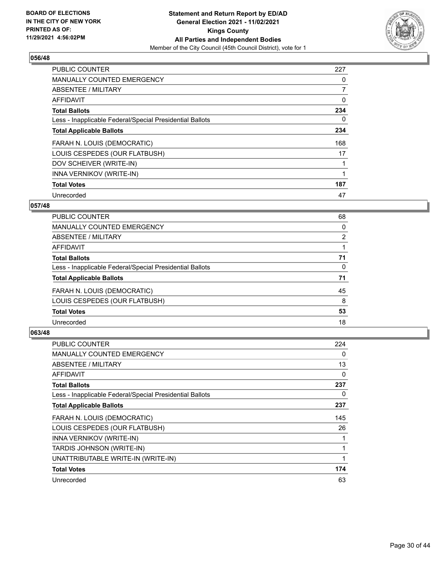

| <b>PUBLIC COUNTER</b>                                    | 227            |
|----------------------------------------------------------|----------------|
| <b>MANUALLY COUNTED EMERGENCY</b>                        | 0              |
| ABSENTEE / MILITARY                                      | $\overline{7}$ |
| <b>AFFIDAVIT</b>                                         | 0              |
| <b>Total Ballots</b>                                     | 234            |
| Less - Inapplicable Federal/Special Presidential Ballots | 0              |
| <b>Total Applicable Ballots</b>                          | 234            |
| FARAH N. LOUIS (DEMOCRATIC)                              | 168            |
| LOUIS CESPEDES (OUR FLATBUSH)                            | 17             |
| DOV SCHEIVER (WRITE-IN)                                  |                |
| INNA VERNIKOV (WRITE-IN)                                 |                |
| <b>Total Votes</b>                                       | 187            |
| Unrecorded                                               | 47             |

## **057/48**

| PUBLIC COUNTER                                           | 68             |
|----------------------------------------------------------|----------------|
| MANUALLY COUNTED EMERGENCY                               | 0              |
| ABSENTEE / MILITARY                                      | $\overline{2}$ |
| <b>AFFIDAVIT</b>                                         |                |
| <b>Total Ballots</b>                                     | 71             |
| Less - Inapplicable Federal/Special Presidential Ballots | 0              |
| <b>Total Applicable Ballots</b>                          | 71             |
| FARAH N. LOUIS (DEMOCRATIC)                              | 45             |
| LOUIS CESPEDES (OUR FLATBUSH)                            | 8              |
| <b>Total Votes</b>                                       | 53             |
| Unrecorded                                               | 18             |
|                                                          |                |

| <b>PUBLIC COUNTER</b>                                    | 224 |
|----------------------------------------------------------|-----|
| <b>MANUALLY COUNTED EMERGENCY</b>                        | 0   |
| ABSENTEE / MILITARY                                      | 13  |
| AFFIDAVIT                                                | 0   |
| <b>Total Ballots</b>                                     | 237 |
| Less - Inapplicable Federal/Special Presidential Ballots | 0   |
| <b>Total Applicable Ballots</b>                          | 237 |
| FARAH N. LOUIS (DEMOCRATIC)                              | 145 |
| LOUIS CESPEDES (OUR FLATBUSH)                            | 26  |
| INNA VERNIKOV (WRITE-IN)                                 |     |
| TARDIS JOHNSON (WRITE-IN)                                |     |
| UNATTRIBUTABLE WRITE-IN (WRITE-IN)                       | 1   |
| <b>Total Votes</b>                                       | 174 |
| Unrecorded                                               | 63  |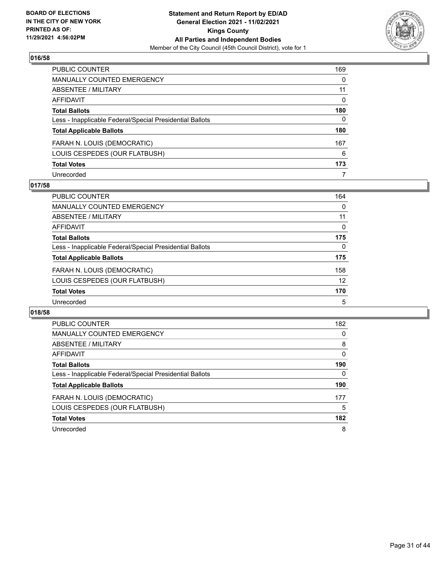

| PUBLIC COUNTER                                           | 169          |
|----------------------------------------------------------|--------------|
| <b>MANUALLY COUNTED EMERGENCY</b>                        | 0            |
| <b>ABSENTEE / MILITARY</b>                               | 11           |
| AFFIDAVIT                                                | $\mathbf{0}$ |
| <b>Total Ballots</b>                                     | 180          |
| Less - Inapplicable Federal/Special Presidential Ballots | 0            |
| <b>Total Applicable Ballots</b>                          | 180          |
| FARAH N. LOUIS (DEMOCRATIC)                              | 167          |
| LOUIS CESPEDES (OUR FLATBUSH)                            | 6            |
| <b>Total Votes</b>                                       | 173          |
| Unrecorded                                               | 7            |

## **017/58**

| PUBLIC COUNTER                                           | 164      |
|----------------------------------------------------------|----------|
| <b>MANUALLY COUNTED EMERGENCY</b>                        | 0        |
| ABSENTEE / MILITARY                                      | 11       |
| AFFIDAVIT                                                | $\Omega$ |
| <b>Total Ballots</b>                                     | 175      |
| Less - Inapplicable Federal/Special Presidential Ballots | $\Omega$ |
| <b>Total Applicable Ballots</b>                          | 175      |
| FARAH N. LOUIS (DEMOCRATIC)                              | 158      |
| LOUIS CESPEDES (OUR FLATBUSH)                            | 12       |
| <b>Total Votes</b>                                       | 170      |
| Unrecorded                                               | 5        |

| <b>PUBLIC COUNTER</b>                                    | 182      |
|----------------------------------------------------------|----------|
| <b>MANUALLY COUNTED EMERGENCY</b>                        | 0        |
| ABSENTEE / MILITARY                                      | 8        |
| <b>AFFIDAVIT</b>                                         | $\Omega$ |
| <b>Total Ballots</b>                                     | 190      |
| Less - Inapplicable Federal/Special Presidential Ballots | 0        |
| <b>Total Applicable Ballots</b>                          | 190      |
| FARAH N. LOUIS (DEMOCRATIC)                              | 177      |
| LOUIS CESPEDES (OUR FLATBUSH)                            | 5        |
| <b>Total Votes</b>                                       | 182      |
| Unrecorded                                               | 8        |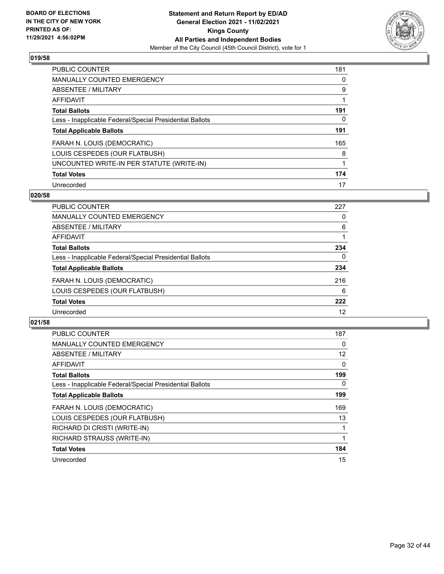

| PUBLIC COUNTER                                           | 181 |
|----------------------------------------------------------|-----|
| <b>MANUALLY COUNTED EMERGENCY</b>                        | 0   |
| ABSENTEE / MILITARY                                      | 9   |
| AFFIDAVIT                                                |     |
| <b>Total Ballots</b>                                     | 191 |
| Less - Inapplicable Federal/Special Presidential Ballots | 0   |
| <b>Total Applicable Ballots</b>                          | 191 |
| FARAH N. LOUIS (DEMOCRATIC)                              | 165 |
| LOUIS CESPEDES (OUR FLATBUSH)                            | 8   |
| UNCOUNTED WRITE-IN PER STATUTE (WRITE-IN)                |     |
| <b>Total Votes</b>                                       | 174 |
| Unrecorded                                               | 17  |

#### **020/58**

| PUBLIC COUNTER                                           | 227 |
|----------------------------------------------------------|-----|
| <b>MANUALLY COUNTED EMERGENCY</b>                        | 0   |
| ABSENTEE / MILITARY                                      | 6   |
| <b>AFFIDAVIT</b>                                         |     |
| <b>Total Ballots</b>                                     | 234 |
| Less - Inapplicable Federal/Special Presidential Ballots | 0   |
| <b>Total Applicable Ballots</b>                          | 234 |
| FARAH N. LOUIS (DEMOCRATIC)                              | 216 |
| LOUIS CESPEDES (OUR FLATBUSH)                            | 6   |
| <b>Total Votes</b>                                       | 222 |
| Unrecorded                                               | 12  |

| <b>PUBLIC COUNTER</b>                                    | 187      |
|----------------------------------------------------------|----------|
| <b>MANUALLY COUNTED EMERGENCY</b>                        | 0        |
| ABSENTEE / MILITARY                                      | 12       |
| AFFIDAVIT                                                | $\Omega$ |
| <b>Total Ballots</b>                                     | 199      |
| Less - Inapplicable Federal/Special Presidential Ballots | 0        |
| <b>Total Applicable Ballots</b>                          | 199      |
| FARAH N. LOUIS (DEMOCRATIC)                              | 169      |
| LOUIS CESPEDES (OUR FLATBUSH)                            | 13       |
| RICHARD DI CRISTI (WRITE-IN)                             |          |
| RICHARD STRAUSS (WRITE-IN)                               |          |
| <b>Total Votes</b>                                       | 184      |
| Unrecorded                                               | 15       |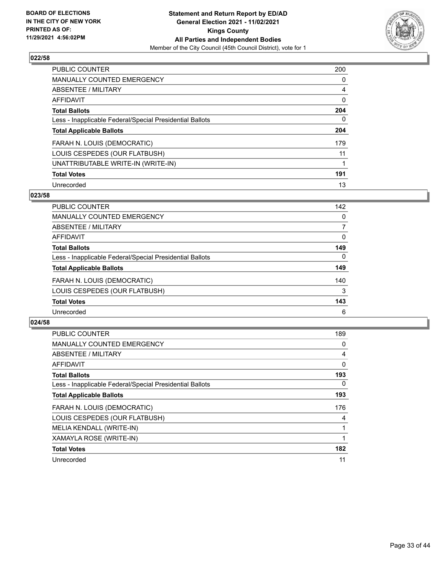

| PUBLIC COUNTER                                           | 200      |
|----------------------------------------------------------|----------|
| MANUALLY COUNTED EMERGENCY                               | $\Omega$ |
| ABSENTEE / MILITARY                                      | 4        |
| AFFIDAVIT                                                | 0        |
| <b>Total Ballots</b>                                     | 204      |
| Less - Inapplicable Federal/Special Presidential Ballots | 0        |
| <b>Total Applicable Ballots</b>                          | 204      |
| FARAH N. LOUIS (DEMOCRATIC)                              | 179      |
| LOUIS CESPEDES (OUR FLATBUSH)                            | 11       |
| UNATTRIBUTABLE WRITE-IN (WRITE-IN)                       |          |
| <b>Total Votes</b>                                       | 191      |
| Unrecorded                                               | 13       |

#### **023/58**

| <b>PUBLIC COUNTER</b>                                    | 142      |
|----------------------------------------------------------|----------|
| MANUALLY COUNTED EMERGENCY                               | $\Omega$ |
| ABSENTEE / MILITARY                                      |          |
| AFFIDAVIT                                                | 0        |
| <b>Total Ballots</b>                                     | 149      |
| Less - Inapplicable Federal/Special Presidential Ballots | $\Omega$ |
| <b>Total Applicable Ballots</b>                          | 149      |
| FARAH N. LOUIS (DEMOCRATIC)                              | 140      |
| LOUIS CESPEDES (OUR FLATBUSH)                            | 3        |
| <b>Total Votes</b>                                       | 143      |
| Unrecorded                                               | 6        |

| <b>PUBLIC COUNTER</b>                                    | 189 |
|----------------------------------------------------------|-----|
| <b>MANUALLY COUNTED EMERGENCY</b>                        | 0   |
| ABSENTEE / MILITARY                                      | 4   |
| <b>AFFIDAVIT</b>                                         | 0   |
| <b>Total Ballots</b>                                     | 193 |
| Less - Inapplicable Federal/Special Presidential Ballots | 0   |
| <b>Total Applicable Ballots</b>                          | 193 |
| FARAH N. LOUIS (DEMOCRATIC)                              | 176 |
| LOUIS CESPEDES (OUR FLATBUSH)                            | 4   |
| MELIA KENDALL (WRITE-IN)                                 |     |
| XAMAYLA ROSE (WRITE-IN)                                  |     |
| <b>Total Votes</b>                                       | 182 |
| Unrecorded                                               | 11  |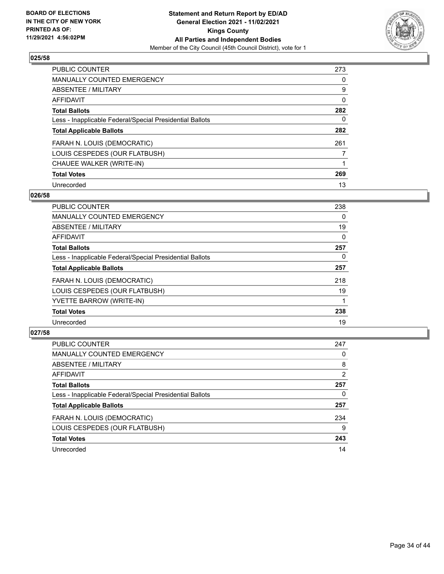

| PUBLIC COUNTER                                           | 273 |
|----------------------------------------------------------|-----|
| <b>MANUALLY COUNTED EMERGENCY</b>                        | 0   |
| ABSENTEE / MILITARY                                      | 9   |
| <b>AFFIDAVIT</b>                                         | 0   |
| <b>Total Ballots</b>                                     | 282 |
| Less - Inapplicable Federal/Special Presidential Ballots | 0   |
| <b>Total Applicable Ballots</b>                          | 282 |
| FARAH N. LOUIS (DEMOCRATIC)                              | 261 |
| LOUIS CESPEDES (OUR FLATBUSH)                            |     |
| CHAUEE WALKER (WRITE-IN)                                 |     |
| <b>Total Votes</b>                                       | 269 |
| Unrecorded                                               | 13  |

#### **026/58**

| <b>PUBLIC COUNTER</b>                                    | 238 |
|----------------------------------------------------------|-----|
| <b>MANUALLY COUNTED EMERGENCY</b>                        | 0   |
| ABSENTEE / MILITARY                                      | 19  |
| <b>AFFIDAVIT</b>                                         | 0   |
| <b>Total Ballots</b>                                     | 257 |
| Less - Inapplicable Federal/Special Presidential Ballots | 0   |
| <b>Total Applicable Ballots</b>                          | 257 |
| FARAH N. LOUIS (DEMOCRATIC)                              | 218 |
| LOUIS CESPEDES (OUR FLATBUSH)                            | 19  |
| YVETTE BARROW (WRITE-IN)                                 |     |
| <b>Total Votes</b>                                       | 238 |
| Unrecorded                                               | 19  |

| PUBLIC COUNTER                                           | 247 |
|----------------------------------------------------------|-----|
| <b>MANUALLY COUNTED EMERGENCY</b>                        | 0   |
| ABSENTEE / MILITARY                                      | 8   |
| AFFIDAVIT                                                | 2   |
| <b>Total Ballots</b>                                     | 257 |
| Less - Inapplicable Federal/Special Presidential Ballots | 0   |
| <b>Total Applicable Ballots</b>                          | 257 |
| FARAH N. LOUIS (DEMOCRATIC)                              | 234 |
| LOUIS CESPEDES (OUR FLATBUSH)                            | 9   |
| <b>Total Votes</b>                                       | 243 |
| Unrecorded                                               | 14  |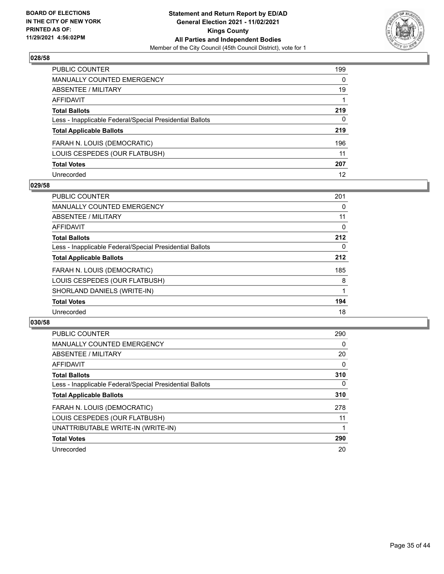

| PUBLIC COUNTER                                           | 199          |
|----------------------------------------------------------|--------------|
| <b>MANUALLY COUNTED EMERGENCY</b>                        | $\mathbf{0}$ |
| <b>ABSENTEE / MILITARY</b>                               | 19           |
| AFFIDAVIT                                                |              |
| <b>Total Ballots</b>                                     | 219          |
| Less - Inapplicable Federal/Special Presidential Ballots | $\mathbf{0}$ |
| <b>Total Applicable Ballots</b>                          | 219          |
| FARAH N. LOUIS (DEMOCRATIC)                              | 196          |
| LOUIS CESPEDES (OUR FLATBUSH)                            | 11           |
| <b>Total Votes</b>                                       | 207          |
| Unrecorded                                               | 12           |

## **029/58**

| <b>PUBLIC COUNTER</b>                                    | 201      |
|----------------------------------------------------------|----------|
| <b>MANUALLY COUNTED EMERGENCY</b>                        | 0        |
| ABSENTEE / MILITARY                                      | 11       |
| <b>AFFIDAVIT</b>                                         | 0        |
| <b>Total Ballots</b>                                     | 212      |
| Less - Inapplicable Federal/Special Presidential Ballots | $\Omega$ |
| <b>Total Applicable Ballots</b>                          | 212      |
| FARAH N. LOUIS (DEMOCRATIC)                              | 185      |
| LOUIS CESPEDES (OUR FLATBUSH)                            | 8        |
| SHORLAND DANIELS (WRITE-IN)                              |          |
| <b>Total Votes</b>                                       | 194      |
| Unrecorded                                               | 18       |

| <b>PUBLIC COUNTER</b>                                    | 290      |
|----------------------------------------------------------|----------|
| MANUALLY COUNTED EMERGENCY                               | $\Omega$ |
| ABSENTEE / MILITARY                                      | 20       |
| AFFIDAVIT                                                | $\Omega$ |
| <b>Total Ballots</b>                                     | 310      |
| Less - Inapplicable Federal/Special Presidential Ballots | $\Omega$ |
| <b>Total Applicable Ballots</b>                          | 310      |
| FARAH N. LOUIS (DEMOCRATIC)                              | 278      |
| LOUIS CESPEDES (OUR FLATBUSH)                            | 11       |
| UNATTRIBUTABLE WRITE-IN (WRITE-IN)                       |          |
| <b>Total Votes</b>                                       | 290      |
| Unrecorded                                               | 20       |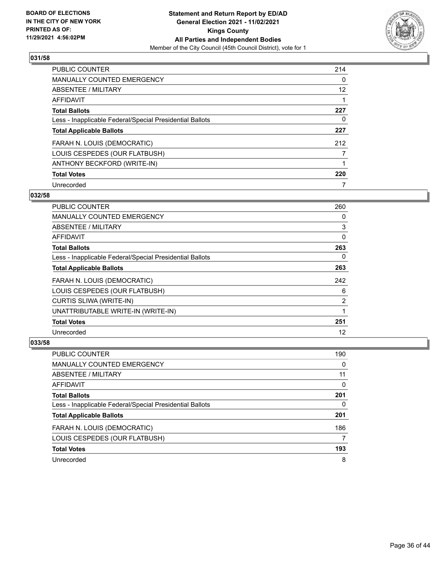

| <b>PUBLIC COUNTER</b>                                    | 214      |
|----------------------------------------------------------|----------|
| MANUALLY COUNTED EMERGENCY                               | $\Omega$ |
| ABSENTEE / MILITARY                                      | 12       |
| AFFIDAVIT                                                |          |
| <b>Total Ballots</b>                                     | 227      |
| Less - Inapplicable Federal/Special Presidential Ballots | 0        |
| <b>Total Applicable Ballots</b>                          | 227      |
| FARAH N. LOUIS (DEMOCRATIC)                              | 212      |
| LOUIS CESPEDES (OUR FLATBUSH)                            |          |
| ANTHONY BECKFORD (WRITE-IN)                              |          |
| <b>Total Votes</b>                                       | 220      |
| Unrecorded                                               |          |

## **032/58**

| <b>PUBLIC COUNTER</b>                                    | 260 |
|----------------------------------------------------------|-----|
| MANUALLY COUNTED EMERGENCY                               | 0   |
| ABSENTEE / MILITARY                                      | 3   |
| AFFIDAVIT                                                | 0   |
| <b>Total Ballots</b>                                     | 263 |
| Less - Inapplicable Federal/Special Presidential Ballots | 0   |
| <b>Total Applicable Ballots</b>                          | 263 |
| FARAH N. LOUIS (DEMOCRATIC)                              | 242 |
| LOUIS CESPEDES (OUR FLATBUSH)                            | 6   |
| CURTIS SLIWA (WRITE-IN)                                  | 2   |
| UNATTRIBUTABLE WRITE-IN (WRITE-IN)                       |     |
| <b>Total Votes</b>                                       | 251 |
| Unrecorded                                               | 12  |

| <b>PUBLIC COUNTER</b>                                    | 190 |
|----------------------------------------------------------|-----|
| MANUALLY COUNTED EMERGENCY                               | 0   |
| ABSENTEE / MILITARY                                      | 11  |
| AFFIDAVIT                                                | 0   |
| <b>Total Ballots</b>                                     | 201 |
| Less - Inapplicable Federal/Special Presidential Ballots | 0   |
| <b>Total Applicable Ballots</b>                          | 201 |
| FARAH N. LOUIS (DEMOCRATIC)                              | 186 |
| LOUIS CESPEDES (OUR FLATBUSH)                            |     |
| <b>Total Votes</b>                                       | 193 |
| Unrecorded                                               | 8   |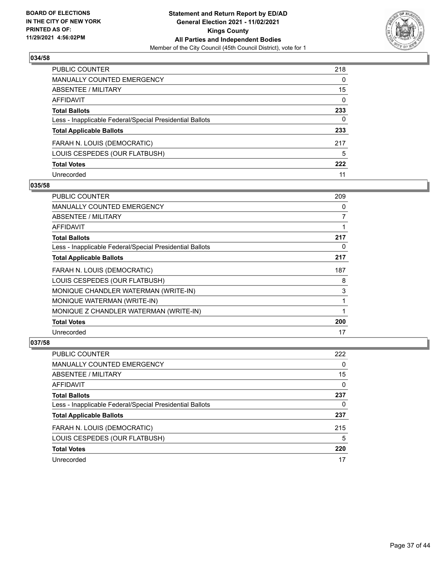

| PUBLIC COUNTER                                           | 218      |
|----------------------------------------------------------|----------|
| <b>MANUALLY COUNTED EMERGENCY</b>                        | 0        |
| <b>ABSENTEE / MILITARY</b>                               | 15       |
| <b>AFFIDAVIT</b>                                         | $\Omega$ |
| <b>Total Ballots</b>                                     | 233      |
| Less - Inapplicable Federal/Special Presidential Ballots | 0        |
| <b>Total Applicable Ballots</b>                          | 233      |
| FARAH N. LOUIS (DEMOCRATIC)                              | 217      |
| LOUIS CESPEDES (OUR FLATBUSH)                            | 5        |
| <b>Total Votes</b>                                       | 222      |
| Unrecorded                                               | 11       |

## **035/58**

| PUBLIC COUNTER                                           | 209            |
|----------------------------------------------------------|----------------|
| <b>MANUALLY COUNTED EMERGENCY</b>                        | 0              |
| ABSENTEE / MILITARY                                      | $\overline{7}$ |
| <b>AFFIDAVIT</b>                                         |                |
| <b>Total Ballots</b>                                     | 217            |
| Less - Inapplicable Federal/Special Presidential Ballots | 0              |
| <b>Total Applicable Ballots</b>                          | 217            |
| FARAH N. LOUIS (DEMOCRATIC)                              | 187            |
| LOUIS CESPEDES (OUR FLATBUSH)                            | 8              |
| MONIQUE CHANDLER WATERMAN (WRITE-IN)                     | 3              |
| MONIQUE WATERMAN (WRITE-IN)                              |                |
| MONIQUE Z CHANDLER WATERMAN (WRITE-IN)                   |                |
| <b>Total Votes</b>                                       | 200            |
| Unrecorded                                               | 17             |

| <b>PUBLIC COUNTER</b>                                    | 222      |
|----------------------------------------------------------|----------|
| MANUALLY COUNTED EMERGENCY                               | 0        |
| ABSENTEE / MILITARY                                      | 15       |
| AFFIDAVIT                                                | $\Omega$ |
| <b>Total Ballots</b>                                     | 237      |
| Less - Inapplicable Federal/Special Presidential Ballots | 0        |
| <b>Total Applicable Ballots</b>                          | 237      |
| FARAH N. LOUIS (DEMOCRATIC)                              | 215      |
| LOUIS CESPEDES (OUR FLATBUSH)                            | 5        |
| <b>Total Votes</b>                                       | 220      |
| Unrecorded                                               | 17       |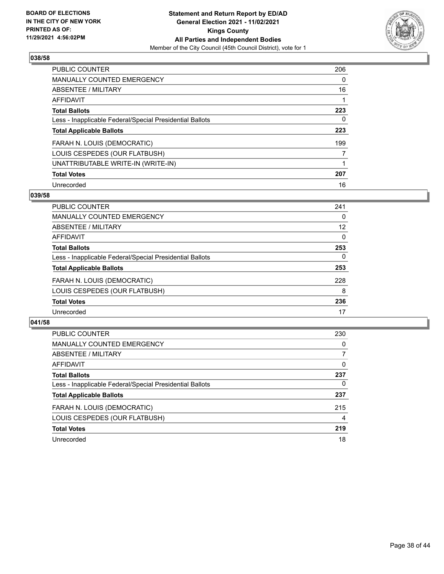

| PUBLIC COUNTER                                           | 206      |
|----------------------------------------------------------|----------|
| <b>MANUALLY COUNTED EMERGENCY</b>                        | $\Omega$ |
| ABSENTEE / MILITARY                                      | 16       |
| <b>AFFIDAVIT</b>                                         |          |
| <b>Total Ballots</b>                                     | 223      |
| Less - Inapplicable Federal/Special Presidential Ballots | 0        |
| <b>Total Applicable Ballots</b>                          | 223      |
| FARAH N. LOUIS (DEMOCRATIC)                              | 199      |
| LOUIS CESPEDES (OUR FLATBUSH)                            | 7        |
| UNATTRIBUTABLE WRITE-IN (WRITE-IN)                       |          |
| <b>Total Votes</b>                                       | 207      |
| Unrecorded                                               | 16       |

#### **039/58**

| <b>PUBLIC COUNTER</b>                                    | 241      |
|----------------------------------------------------------|----------|
| MANUALLY COUNTED EMERGENCY                               | 0        |
| ABSENTEE / MILITARY                                      | 12       |
| AFFIDAVIT                                                | $\Omega$ |
| <b>Total Ballots</b>                                     | 253      |
| Less - Inapplicable Federal/Special Presidential Ballots | $\Omega$ |
| <b>Total Applicable Ballots</b>                          | 253      |
| FARAH N. LOUIS (DEMOCRATIC)                              | 228      |
| LOUIS CESPEDES (OUR FLATBUSH)                            | 8        |
| <b>Total Votes</b>                                       | 236      |
| Unrecorded                                               | 17       |

| PUBLIC COUNTER                                           | 230      |
|----------------------------------------------------------|----------|
| <b>MANUALLY COUNTED EMERGENCY</b>                        | 0        |
| ABSENTEE / MILITARY                                      | 7        |
| AFFIDAVIT                                                | $\Omega$ |
| <b>Total Ballots</b>                                     | 237      |
| Less - Inapplicable Federal/Special Presidential Ballots | 0        |
| <b>Total Applicable Ballots</b>                          | 237      |
| FARAH N. LOUIS (DEMOCRATIC)                              | 215      |
| LOUIS CESPEDES (OUR FLATBUSH)                            | 4        |
| <b>Total Votes</b>                                       | 219      |
| Unrecorded                                               | 18       |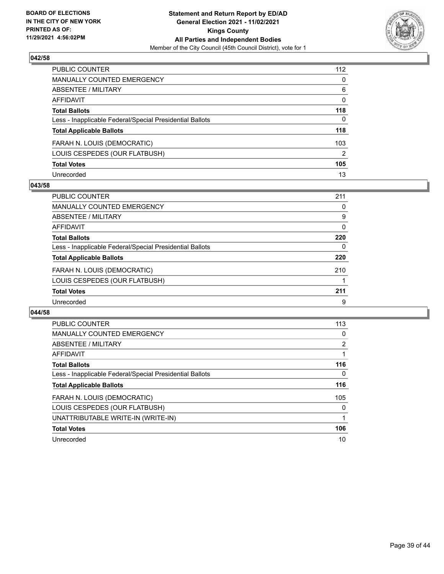

| PUBLIC COUNTER                                           | 112 |
|----------------------------------------------------------|-----|
| <b>MANUALLY COUNTED EMERGENCY</b>                        | 0   |
| <b>ABSENTEE / MILITARY</b>                               | 6   |
| AFFIDAVIT                                                | 0   |
| <b>Total Ballots</b>                                     | 118 |
| Less - Inapplicable Federal/Special Presidential Ballots | 0   |
| <b>Total Applicable Ballots</b>                          | 118 |
| FARAH N. LOUIS (DEMOCRATIC)                              | 103 |
| LOUIS CESPEDES (OUR FLATBUSH)                            | 2   |
| <b>Total Votes</b>                                       | 105 |
| Unrecorded                                               | 13  |

## **043/58**

| <b>PUBLIC COUNTER</b>                                    | 211      |
|----------------------------------------------------------|----------|
| MANUALLY COUNTED EMERGENCY                               | 0        |
| ABSENTEE / MILITARY                                      | 9        |
| AFFIDAVIT                                                | $\Omega$ |
| <b>Total Ballots</b>                                     | 220      |
| Less - Inapplicable Federal/Special Presidential Ballots | 0        |
| <b>Total Applicable Ballots</b>                          | 220      |
| FARAH N. LOUIS (DEMOCRATIC)                              | 210      |
| LOUIS CESPEDES (OUR FLATBUSH)                            |          |
| <b>Total Votes</b>                                       | 211      |
| Unrecorded                                               | 9        |

| <b>PUBLIC COUNTER</b>                                    | 113      |
|----------------------------------------------------------|----------|
| <b>MANUALLY COUNTED EMERGENCY</b>                        | 0        |
| ABSENTEE / MILITARY                                      | 2        |
| AFFIDAVIT                                                |          |
| <b>Total Ballots</b>                                     | 116      |
| Less - Inapplicable Federal/Special Presidential Ballots | 0        |
| <b>Total Applicable Ballots</b>                          | 116      |
| FARAH N. LOUIS (DEMOCRATIC)                              | 105      |
| LOUIS CESPEDES (OUR FLATBUSH)                            | $\Omega$ |
| UNATTRIBUTABLE WRITE-IN (WRITE-IN)                       |          |
| <b>Total Votes</b>                                       | 106      |
| Unrecorded                                               | 10       |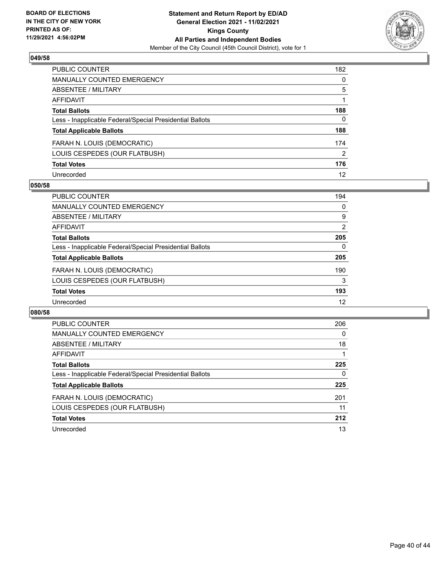

| PUBLIC COUNTER                                           | 182           |
|----------------------------------------------------------|---------------|
| <b>MANUALLY COUNTED EMERGENCY</b>                        | 0             |
| <b>ABSENTEE / MILITARY</b>                               | 5             |
| AFFIDAVIT                                                |               |
| <b>Total Ballots</b>                                     | 188           |
| Less - Inapplicable Federal/Special Presidential Ballots | 0             |
| <b>Total Applicable Ballots</b>                          | 188           |
| FARAH N. LOUIS (DEMOCRATIC)                              | 174           |
| LOUIS CESPEDES (OUR FLATBUSH)                            | $\mathcal{P}$ |
| <b>Total Votes</b>                                       | 176           |
| Unrecorded                                               | 12            |

#### **050/58**

| <b>PUBLIC COUNTER</b>                                    | 194            |
|----------------------------------------------------------|----------------|
| <b>MANUALLY COUNTED EMERGENCY</b>                        | 0              |
| <b>ABSENTEE / MILITARY</b>                               | 9              |
| AFFIDAVIT                                                | $\overline{2}$ |
| <b>Total Ballots</b>                                     | 205            |
| Less - Inapplicable Federal/Special Presidential Ballots | 0              |
| <b>Total Applicable Ballots</b>                          | 205            |
| FARAH N. LOUIS (DEMOCRATIC)                              | 190            |
| LOUIS CESPEDES (OUR FLATBUSH)                            | 3              |
| <b>Total Votes</b>                                       | 193            |
| Unrecorded                                               | 12             |

| <b>PUBLIC COUNTER</b>                                    | 206      |
|----------------------------------------------------------|----------|
| <b>MANUALLY COUNTED EMERGENCY</b>                        | $\Omega$ |
| ABSENTEE / MILITARY                                      | 18       |
| AFFIDAVIT                                                |          |
| <b>Total Ballots</b>                                     | 225      |
| Less - Inapplicable Federal/Special Presidential Ballots | 0        |
| <b>Total Applicable Ballots</b>                          | 225      |
| FARAH N. LOUIS (DEMOCRATIC)                              | 201      |
| LOUIS CESPEDES (OUR FLATBUSH)                            | 11       |
| <b>Total Votes</b>                                       | 212      |
| Unrecorded                                               | 13       |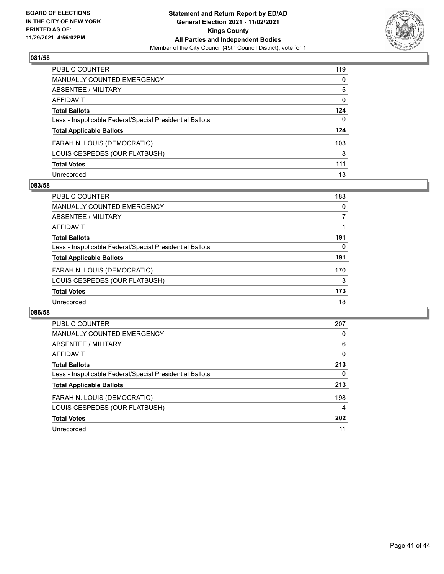

| PUBLIC COUNTER                                           | 119 |
|----------------------------------------------------------|-----|
| <b>MANUALLY COUNTED EMERGENCY</b>                        | 0   |
| <b>ABSENTEE / MILITARY</b>                               | 5   |
| AFFIDAVIT                                                | 0   |
| <b>Total Ballots</b>                                     | 124 |
| Less - Inapplicable Federal/Special Presidential Ballots | 0   |
| <b>Total Applicable Ballots</b>                          | 124 |
| FARAH N. LOUIS (DEMOCRATIC)                              | 103 |
| LOUIS CESPEDES (OUR FLATBUSH)                            | 8   |
| <b>Total Votes</b>                                       | 111 |
| Unrecorded                                               | 13  |

## **083/58**

| <b>PUBLIC COUNTER</b>                                    | 183      |
|----------------------------------------------------------|----------|
| <b>MANUALLY COUNTED EMERGENCY</b>                        | 0        |
| <b>ABSENTEE / MILITARY</b>                               |          |
| AFFIDAVIT                                                |          |
| <b>Total Ballots</b>                                     | 191      |
| Less - Inapplicable Federal/Special Presidential Ballots | $\Omega$ |
| <b>Total Applicable Ballots</b>                          | 191      |
| FARAH N. LOUIS (DEMOCRATIC)                              | 170      |
| LOUIS CESPEDES (OUR FLATBUSH)                            | 3        |
| <b>Total Votes</b>                                       | 173      |
| Unrecorded                                               | 18       |

| <b>PUBLIC COUNTER</b>                                    | 207      |
|----------------------------------------------------------|----------|
| <b>MANUALLY COUNTED EMERGENCY</b>                        | 0        |
| ABSENTEE / MILITARY                                      | 6        |
| <b>AFFIDAVIT</b>                                         | $\Omega$ |
| <b>Total Ballots</b>                                     | 213      |
| Less - Inapplicable Federal/Special Presidential Ballots | 0        |
| <b>Total Applicable Ballots</b>                          | 213      |
| FARAH N. LOUIS (DEMOCRATIC)                              | 198      |
| LOUIS CESPEDES (OUR FLATBUSH)                            | 4        |
| <b>Total Votes</b>                                       | 202      |
| Unrecorded                                               | 11       |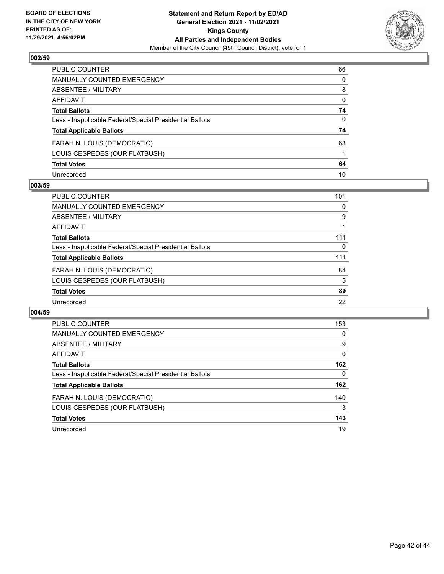

| PUBLIC COUNTER                                           | 66           |
|----------------------------------------------------------|--------------|
| MANUALLY COUNTED EMERGENCY                               | 0            |
| <b>ABSENTEE / MILITARY</b>                               | 8            |
| AFFIDAVIT                                                | $\mathbf{0}$ |
| <b>Total Ballots</b>                                     | 74           |
| Less - Inapplicable Federal/Special Presidential Ballots | $\mathbf{0}$ |
| <b>Total Applicable Ballots</b>                          | 74           |
| FARAH N. LOUIS (DEMOCRATIC)                              | 63           |
| LOUIS CESPEDES (OUR FLATBUSH)                            |              |
| <b>Total Votes</b>                                       | 64           |
| Unrecorded                                               | 10           |

## **003/59**

| <b>PUBLIC COUNTER</b>                                    | 101      |
|----------------------------------------------------------|----------|
| <b>MANUALLY COUNTED EMERGENCY</b>                        | 0        |
| ABSENTEE / MILITARY                                      | 9        |
| AFFIDAVIT                                                |          |
| <b>Total Ballots</b>                                     | 111      |
| Less - Inapplicable Federal/Special Presidential Ballots | $\Omega$ |
| <b>Total Applicable Ballots</b>                          | 111      |
| FARAH N. LOUIS (DEMOCRATIC)                              | 84       |
| LOUIS CESPEDES (OUR FLATBUSH)                            | 5        |
| <b>Total Votes</b>                                       | 89       |
| Unrecorded                                               | 22       |

| <b>PUBLIC COUNTER</b>                                    | 153      |
|----------------------------------------------------------|----------|
| <b>MANUALLY COUNTED EMERGENCY</b>                        | 0        |
| ABSENTEE / MILITARY                                      | 9        |
| <b>AFFIDAVIT</b>                                         | $\Omega$ |
| <b>Total Ballots</b>                                     | 162      |
| Less - Inapplicable Federal/Special Presidential Ballots | 0        |
| <b>Total Applicable Ballots</b>                          | 162      |
| FARAH N. LOUIS (DEMOCRATIC)                              | 140      |
| LOUIS CESPEDES (OUR FLATBUSH)                            | 3        |
| <b>Total Votes</b>                                       | 143      |
| Unrecorded                                               | 19       |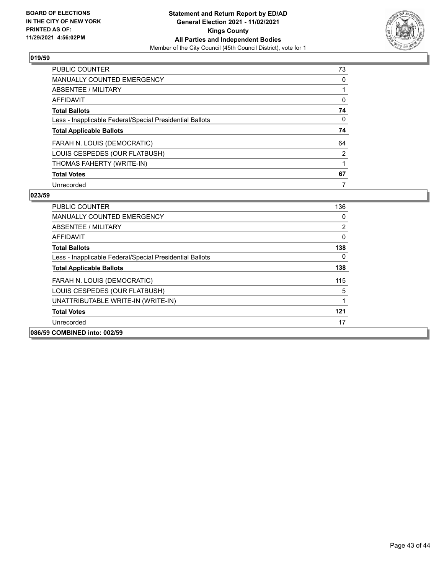

| <b>PUBLIC COUNTER</b>                                    | 73             |
|----------------------------------------------------------|----------------|
| <b>MANUALLY COUNTED EMERGENCY</b>                        | 0              |
| ABSENTEE / MILITARY                                      |                |
| AFFIDAVIT                                                | $\Omega$       |
| <b>Total Ballots</b>                                     | 74             |
| Less - Inapplicable Federal/Special Presidential Ballots | 0              |
| <b>Total Applicable Ballots</b>                          | 74             |
| FARAH N. LOUIS (DEMOCRATIC)                              | 64             |
|                                                          |                |
| LOUIS CESPEDES (OUR FLATBUSH)                            | $\overline{2}$ |
| THOMAS FAHERTY (WRITE-IN)                                |                |
| <b>Total Votes</b>                                       | 67             |

| <b>PUBLIC COUNTER</b>                                    | 136 |
|----------------------------------------------------------|-----|
| <b>MANUALLY COUNTED EMERGENCY</b>                        | 0   |
| ABSENTEE / MILITARY                                      | 2   |
| AFFIDAVIT                                                | 0   |
| <b>Total Ballots</b>                                     | 138 |
| Less - Inapplicable Federal/Special Presidential Ballots | 0   |
| <b>Total Applicable Ballots</b>                          | 138 |
| FARAH N. LOUIS (DEMOCRATIC)                              | 115 |
| LOUIS CESPEDES (OUR FLATBUSH)                            | 5   |
| UNATTRIBUTABLE WRITE-IN (WRITE-IN)                       | 1   |
| <b>Total Votes</b>                                       | 121 |
| Unrecorded                                               | 17  |
| 086/59 COMBINED into: 002/59                             |     |